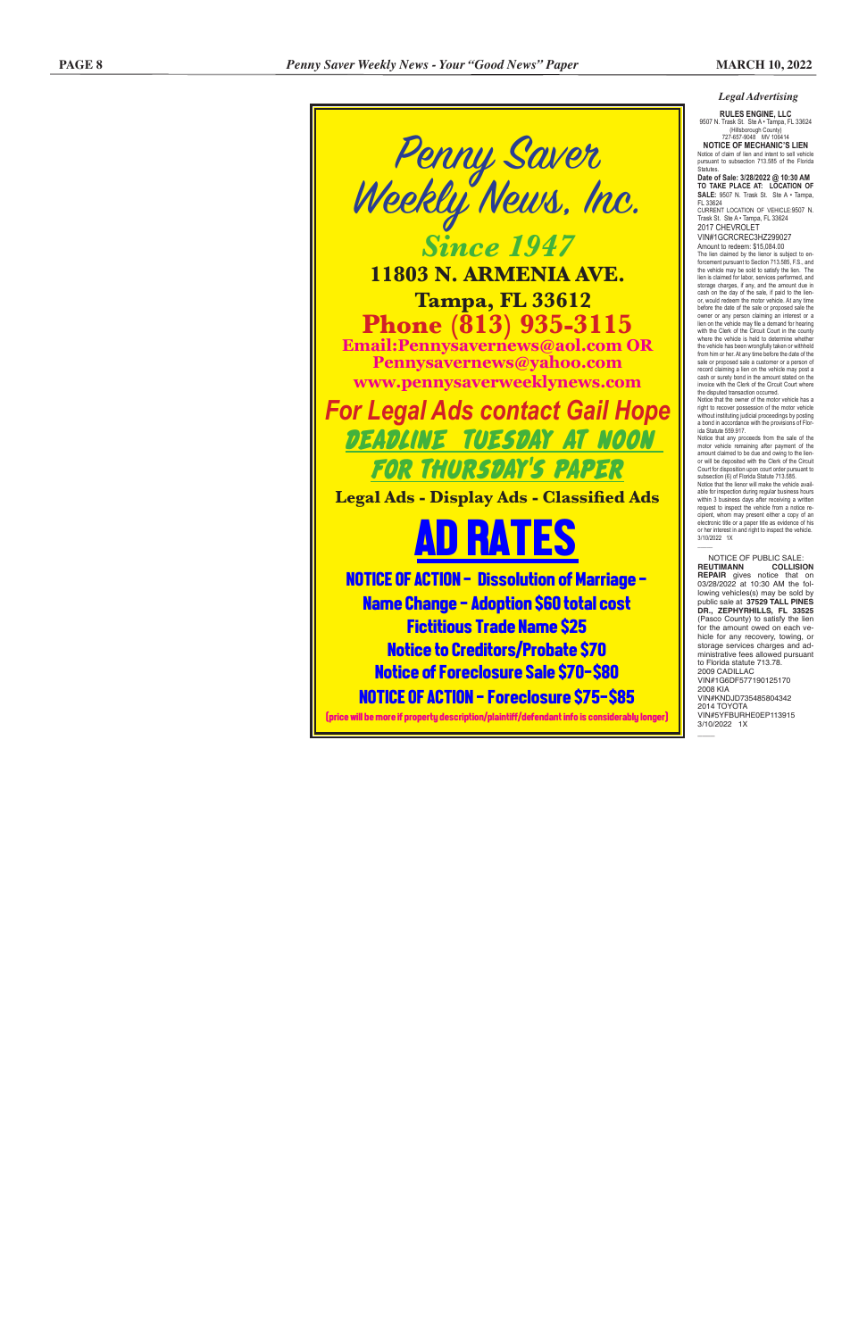### *Legal Advertising*

**RULES ENGINE, LLC**<br>9507 N. Trask St. Ste A • Tampa, FL 33624 (Hillsborough County)<br>27-657-9048 MV 106414

.<br>Statutes. **Date of Sale: 3/28/2022 @ 10:30 AM TO TAKE PLACE AT: LOCATION OF** 

727-657-9048 MV 106414 **NOTICE OF MECHANIC'S LIEN** Notice of claim of lien and intent to sell vehicle pursuant to subsection 713.585 of the Florida

Amount to redeem: \$15,084.00 The lien claimed by the lienor is subject to en The lien claimed by the lienor is subject to en-<br>forcement pursuant to Section 713.585, F.S., and the vehicle may be sold to satisfy the lien. The lien is claimed for labor, services performed, and storage charges, if any, and the amount due in cash on the day of the sale, if paid to the lien or, would redeem the motor vehicle. At any time before the date of the sale or proposed sale the owner or any person claiming an interest or a lien on the vehicle may file a demand for hearing with the Clerk of the Circuit Court in the county

**SALE:** 9507 N. Trask St. Ste A • Tampa, FL 33624 CURRENT LOCATION OF VEHICLE:9507 N. Trask St. Ste A • Tampa, FL 33624

2017 CHEVROLET VIN#1GCRCREC3HZ299027

where the vehicle is held to determine whether the vehicle has been wrongfully taken or withheld from him or her. At any time before the date of the sale or proposed sale a customer or a person of record claiming a lien on the vehicle may post a cash or surety bond in the amount stated on the invoice with the Clerk of the Circuit Court where the disputed transaction occurred.

Notice that the owner of the motor vehicle has a right to recover possession of the motor vehicle without instituting judicial proceedings by posting a bond in accordance with the provisions of Flor - ida Statute 559.917.

Notice that the lienor will make the vehicle avail able for inspection during regular business hours within 3 business days after receiving a written request to inspect the vehicle from a notice recipient, whom may present either a copy of an electronic title or a paper title as evidence of his or her interest in and right to inspect the vehicle. 3/10/2022 1X  $\mathcal{L}$ 

NOTICE OF PUBLIC SALE:<br>REUTIMANN COLLISION **REUTIMANN COLLISION REPAIR** gives notice that on 03/28/2022 at 10:30 AM the fol lowing vehicles(s) may be sold by public sale at **37529 TALL PINES DR., ZEPHYRHILLS, FL 33525**  (Pasco County) to satisfy the lien for the amount owed on each ve hicle for any recovery, towing, or storage services charges and ad ministrative fees allowed pursuant to Florida statute 713.78. 2009 CADILLAC VIN#1G6DF577190125170 2008 KIA VIN#KNDJD735485804342 2014 TOYOTA VIN#5YFBURHE0EP113915 3/10/2022 1X  $\overline{\phantom{a}}$ 

Notice that any proceeds from the sale of the motor vehicle remaining after payment of the amount claimed to be due and owing to the lien or will be deposited with the Clerk of the Circuit Court for disposition upon court order pursuant to subsection (6) of Florida Statute 713.585.

Penny Saver Weekly News, Inc. *Since 1947* **11803 N. ARMENIA AVE. Tampa, FL 33612 Phone (813) 935-3115 Email:Pennysavernews@aol.com OR Pennysavernews@yahoo.com www.pennysaverweeklynews.com** *For Legal Ads contact Gail Hope* DEADLINE TUESDAY AT NOON FOR THURSDAY'S PAPER **Legal Ads - Display Ads - Classified Ads**



Name Change - Adoption \$60 total cost Fictitious Trade Name \$25 Notice to Creditors/Probate \$70 Notice of Foreclosure Sale \$70-\$80 NOTICE OF ACTION - Foreclosure \$75-\$85

(price will be more if property description/plaintiff/defendant info is considerably longer)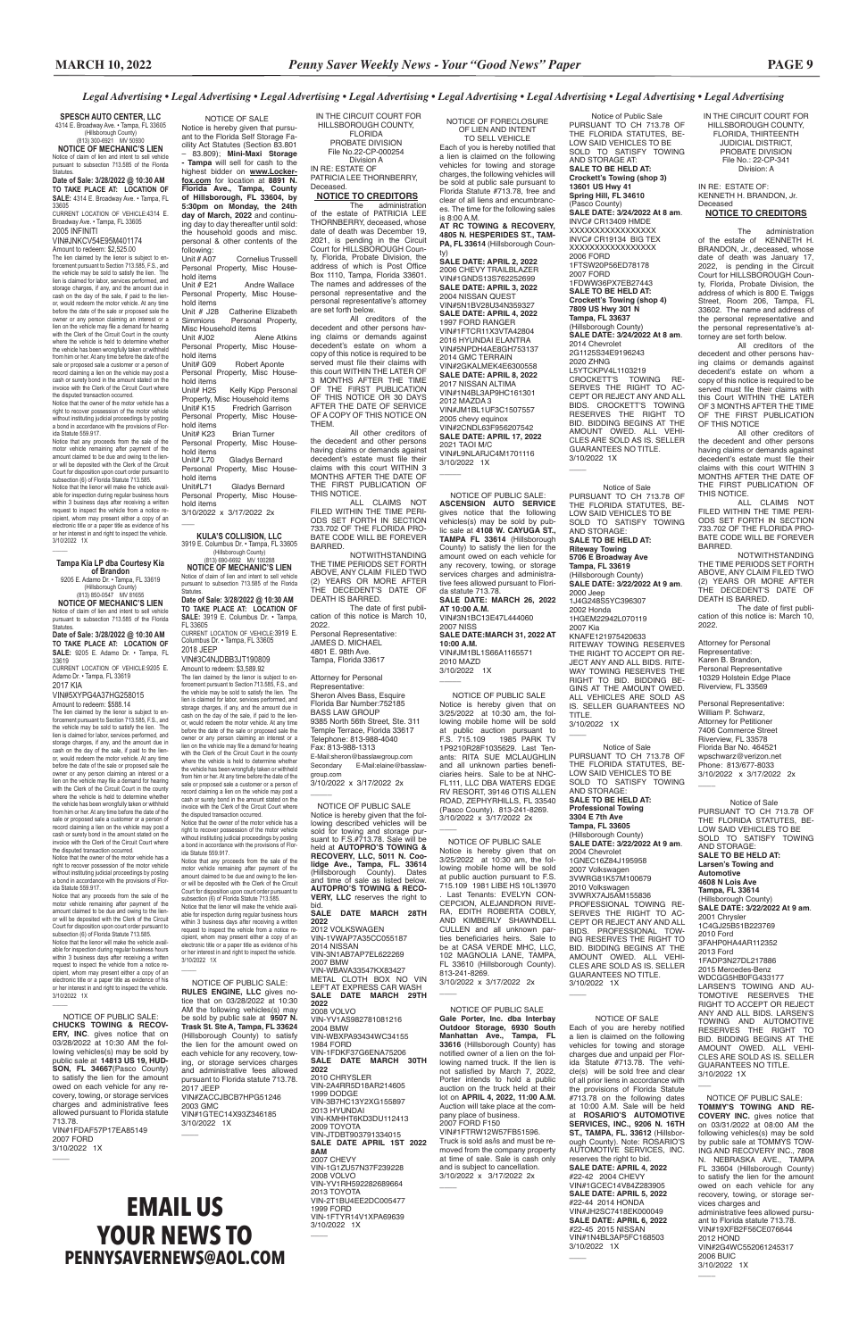#### **SPESCH AUTO CENTER, LLC**

# **EMAIL US YOUR NEWS TO PENNYSAVERNEWS@AOL.COM**

IN THE CIRCUIT COURT FOR HILLSBOROUGH COUNTY, FLORIDA, THIRTEENTH JUDICIAL DISTRICT, PROBATE DIVISION File No.: 22-CP-341 Division: A

IN RE: ESTATE OF: KENNETH H. BRANDON, Jr. Deceased

**NOTICE TO CREDITORS**

The administration of the estate of KENNETH H. BRANDON, Jr., deceased, whose date of death was January 17, 2022, is pending in the Circuit Court for HILLSBOROUGH County, Florida, Probate Division, the address of which is 800 E. Twiggs Street, Room 206, Tampa, FL 33602. The name and address of the personal representative and the personal representative's attorney are set forth below.

All creditors of the decedent and other persons having claims or demands against decedent's estate on whom a copy of this notice is required to be served must file their claims with this Court WITHIN THE LATER OF 3 MONTHS AFTER THE TIME OF THE FIRST PUBLICATION OF THIS NOTICE

All other creditors of the decedent and other persons having claims or demands against decedent's estate must file their claims with this court WITHIN 3 MONTHS AFTER THE DATE OF THE FIRST PUBLICATION OF THIS NOTICE.

Notice of Public Sale PURSUANT TO CH 713.78 OF THE FLORIDA STATUTES, BE-LOW SAID VEHICLES TO BE SOLD TO SATISFY TOWING AND STORAGE AT: **SALE TO BE HELD AT: Crockett's Towing (shop 3) 13601 US Hwy 41 Spring Hill, FL 34610** (Pasco County) **SALE DATE: 3/24/2022 At 8 am**. INVC# CR13409 HMDE XXXXXXXXXXXXXX INVC# CR19134 BIG TEX XXXXXXXXXXXXXXXXX 2006 FORD 1FTSW20P56ED78178 2007 FORD 1FDWW36PX7EB27443 **SALE TO BE HELD AT: Crockett's Towing (shop 4) 7809 US Hwy 301 N Tampa, FL 33637** (Hillsborough County) **SALE DATE: 3/24/2022 At 8 am**. 2014 Chevrolet 2G1125S34E9196243 2020 ZHNG L5YTCKPV4L1103219 CROCKETT'S TOWING RE-SERVES THE RIGHT TO AC-CEPT OR REJECT ANY AND ALL BIDS. CROCKETT'S TOWING RESERVES THE RIGHT TO BID. BIDDING BEGINS AT THE AMOUNT OWED. ALL VEHI-CLES ARE SOLD AS IS. SELLER GUARANTEES NO TITLE. 3/10/2022 1X  $\overline{\phantom{a}}$ 

> ALL CLAIMS NOT FILED WITHIN THE TIME PERI-ODS SET FORTH IN SECTION 733.702 OF THE FLORIDA PRO-BATE CODE WILL BE FOREVER BARRED.

> NOTWITHSTANDING THE TIME PERIODS SET FORTH ABOVE, ANY CLAIM FILED TWO (2) YEARS OR MORE AFTER THE DECEDENT'S DATE OF DEATH IS BARRED.

The date of first publication of this notice is: March 10, 2022.

Attorney for Personal Representative: Karen B. Brandon, Personal Representative 10329 Holstein Edge Place Riverview, FL 33569

Personal Representative: William P. Schwarz, Attorney for Petitioner 7406 Commerce Street Riverview, FL 33578 Florida Bar No. 464521 wpschwarz@verizon.net Phone: 813/677-8033 3/10/2022 x 3/17/2022 2x

3/10/2022 1X  $\overline{\phantom{a}}$ 

 $\overline{\phantom{a}}$ Notice of Sale PURSUANT TO CH 713.78 OF THE FLORIDA STATUTES, BE-LOW SAID VEHICLES TO BE SOLD TO SATISFY TOWING AND STORAGE: **SALE TO BE HELD AT: Professional Towing 3304 E 7th Ave Tampa, FL 33605** (Hillsborough County) **SALE DATE: 3/22/2022 At 9 am**. 2004 Chevrolet 1GNEC16Z84J195958 2007 Volkswagen 3VWRG81K57M100679 2010 Volkswagen 3VWRX7AJ5AM155836 PROFESSIONAL TOWING RE-SERVES THE RIGHT TO AC-CEPT OR REJECT ANY AND ALL BIDS. PROFESSIONAL TOW-ING RESERVES THE RIGHT TO BID. BIDDING BEGINS AT THE AMOUNT OWED. ALL VEHI-CLES ARE SOLD AS IS. SELLER GUARANTEES NO TITLE. 3/10/2022 1X  $\overline{\phantom{a}}$ NOTICE OF SALE Each of you are hereby notified a lien is claimed on the following vehicles for towing and storage charges due and unpaid per Florida Statute #713.78. The vehicle(s) will be sold free and clear of all prior liens in accordance with the provisions of Florida Statute #713.78 on the following dates at 10:00 A.M. Sale will be held at **ROSARIO'S AUTOMOTIVE SERVICES, INC., 9206 N. 16TH ST., TAMPA, FL. 33612** (Hillsborough County). Note: ROSARIO'S AUTOMOTIVE SERVICES, INC. reserves the right to bid. **SALE DATE: APRIL 4, 2022** #22-42 2004 CHEVY VIN#1GCEC14V84Z283905 **SALE DATE: APRIL 5, 2022** #22-44 2014 HONDA VIN#JH2SC7418EK000049 **SALE DATE: APRIL 6, 2022** #22-45 2015 NISSAN

3/10/2022 1X  $\overline{\phantom{a}}$ 

NOTICE OF FORECLOSURE OF LIEN AND INTENT TO SELL VEHICLE Each of you is hereby notified that

is 8:00 A.M. **AT RC TOWING & RECOVERY, 4805 N. HESPERIDES ST., TAM-**PA. FL 33614 (Hillsborough Coun-

ty) **SALE DATE: APRIL 2, 2022** 2006 CHEVY TRAILBLAZER VIN#1GNDS13S762252699 **SALE DATE: APRIL 3, 2022** 2004 NISSAN QUEST VIN#5N1BV28U34N359327 **SALE DATE: APRIL 4, 2022** 1997 FORD RANGER VIN#1FTCR11X3VTA42804 2016 HYUNDAI ELANTRA VIN#5NPDH4AE8GH753137 2014 GMC TERRAIN VIN#2GKALMEK4E6300558 **SALE DATE: APRIL 8, 2022** 2017 NISSAN ALTIMA VIN#1N4BL3AP9HC161301 2012 MAZDA 3 VIN#JM1BL1UF3C1507557 2005 chevy equinox VIN#2CNDL63F956207542 **SALE DATE: APRIL 17, 2022** 2021 TAOI M/C VIN#L9NLARJC4M1701116 3/10/2022 1X

 $\overline{\phantom{a}}$ 

3/10/2022 1X  $\overline{\phantom{a}}$ 

 $\overline{\phantom{a}}$ 

 $\overline{\phantom{a}}$ 

 $\overline{\phantom{a}}$ 

Notice of Sale PURSUANT TO CH 713.78 OF THE FLORIDA STATUTES, BE-LOW SAID VEHICLES TO BE SOLD TO SATISFY TOWING AND STORAGE: **SALE TO BE HELD AT: Riteway Towing 5706 E Broadway Ave Tampa, FL 33619** (Hillsborough County) **SALE DATE: 3/22/2022 At 9 am**. 2000 Jeep 1J4G248S5YC396307 2002 Honda 1HGEM22942L070119 2007 Kia KNAFE121975420633 RITEWAY TOWING RESERVES THE RIGHT TO ACCEPT OR RE-JECT ANY AND ALL BIDS. RITE-WAY TOWING RESERVES THE RIGHT TO BID. BIDDING BE-GINS AT THE AMOUNT OWED. ALL VEHICLES ARE SOLD AS IS. SELLER GUARANTEES NO TITLE.

> Notice of Sale PURSUANT TO CH 713.78 OF THE FLORIDA STATUTES, BE-LOW SAID VEHICLES TO BE SOLD TO SATISFY TOWING AND STORAGE: **SALE TO BE HELD AT: Larsen's Towing and Automotive 4608 N Lois Ave Tampa, FL 33614** (Hillsborough County) **SALE DATE: 3/22/2022 At 9 am**. 2001 Chrysler 1C4GJ25B51B223769 2010 Ford 3FAHP0HA4AR112352 2013 Ford 1FADP3N27DL217886 2015 Mercedes-Benz WDCGG5HB0FG433177 LARSEN'S TOWING AND AU-TOMOTIVE RESERVES THE RIGHT TO ACCEPT OR REJECT ANY AND ALL BIDS. LARSEN'S TOWING AND AUTOMOTIVE RESERVES THE RIGHT TO BID. BIDDING BEGINS AT THE AMOUNT OWED. ALL VEHI-CLES ARE SOLD AS IS. SELLER GUARANTEES NO TITLE. 3/10/2022 1X  $\overline{\phantom{a}}$  NOTICE OF PUBLIC SALE: **TOMMY'S TOWING AND RE-COVERY INC.** gives notice that on 03/31/2022 at 08:00 AM the following vehicles(s) may be sold by public sale at TOMMYS TOW-ING AND RECOVERY INC., 7808 N. NEBRASKA AVE. TAMPA FL 33604 (Hillsborough County) to satisfy the lien for the amount owed on each vehicle for any recovery, towing, or storage services charges and administrative fees allowed pursuant to Florida statute 713.78. VIN#19XFB2F56CE076644 2012 HOND VIN#2G4WC552061245317 2006 BUIC 3/10/2022 1X

3/10/2022 1X  $\overline{\phantom{a}}$ 

VIN#1N4BL3AP5FC168503

 $\overline{\phantom{a}}$ 

a lien is claimed on the following vehicles for towing and storage charges, the following vehicles will be sold at public sale pursuant to Florida Statute #713.78, free and clear of all liens and encumbrances. The time for the following sales

– 83.809); **Mini-Maxi Storage - Tampa** will sell for cash to the highest bidder on **www.Lockerfox.com** for location at **8891 N. Florida Ave., Tampa, County of Hillsborough, FL 33604, by 5:30pm on Monday, the 24th day of March, 2022** and continuing day to day thereafter until sold: the household goods and misc. personal & other contents of the following:<br>Unit # A07

Cornelius Trussell Personal Property, Misc Household items<br>Unit # E21 Andre Wallace

Personal Property, Misc Household items<br>Unit # J28

Unit # J28 Catherine Elizabeth<br>Simmions Personal Property, Personal Property, Misc Household items<br>Unit #J02 A Alene Atkins

Personal Property, Misc Household items<br>Unit# G09 Robert Aponte

Personal Property, Misc Household items<br>Unit# H25

Kelly Kipp Personal Property, Misc Household items Unit# K15 Fredrich Garrison Personal Property, Misc Household items

> NOTICE OF PUBLIC SALE: **ASCENSION AUTO SERVICE**  gives notice that the following vehicles(s) may be sold by public sale at **4108 W. CAYUGA ST., TAMPA FL 33614** (Hillsborough County) to satisfy the lien for the amount owed on each vehicle for any recovery, towing, or storage services charges and administrative fees allowed pursuant to Florida statute 713.78. **SALE DATE: MARCH 26, 2022 AT 10:00 A.M.** VIN#3N1BC13E47L444060 2007 NISS **SALE DATE:MARCH 31, 2022 AT 10:00 A.M.** VIN#JM1BL1S66A1165571 2010 MAZD

IN THE CIRCUIT COURT FOR HILLSBOROUGH COUNTY, FLORIDA PROBATE DIVISION

Notice that any proceeds from the sale of the motor vehicle remaining after payment of the amount claimed to be due and owing to the lienor will be deposited with the Clerk of the Circuit Court for disposition upon court order pursuant to subsection (6) of Florida Statute 713.585. Notice that the lienor will make the vehicle available for inspection during regular business hours within 3 business days after receiving a written request to inspect the vehicle from a notice recipient, whom may present either a copy of an electronic title or a paper title as evidence of his or her interest in and right to inspect the vehicle. 3/10/2022 1X  $\mathcal{L}$ 

File No.22-CP-000254 Division A IN RE: ESTATE OF PATRICIA LEE THORNBERRY, Deceased.

### **NOTICE TO CREDITORS**

The administration of the estate of PATRICIA LEE THORNBERRY, deceased, whose date of death was December 19, 2021, is pending in the Circuit Court for HILLSBOROUGH County, Florida, Probate Division, the address of which is Post Office Box 1110, Tampa, Florida 33601. The names and addresses of the personal representative and the personal representative's attorney are set forth below.

### **Statutes Date of Sale: 3/28/2022 @ 10:30 AM TO TAKE PLACE AT: LOCATION OF SALE:** 4314 E. Broadway Ave. • Tampa, FL

All creditors of the decedent and other persons having claims or demands against decedent's estate on whom a copy of this notice is required to be served must file their claims with this court WITHIN THE LATER OF 3 MONTHS AFTER THE TIME OF THE FIRST PUBLICATION OF THIS NOTICE OR 30 DAYS AFTER THE DATE OF SERVICE OF A COPY OF THIS NOTICE ON THEM.

All other creditors of the decedent and other persons having claims or demands against decedent's estate must file their claims with this court WITHIN 3 MONTHS AFTER THE DATE OF THE FIRST PUBLICATION OF THIS NOTICE.

The lien claimed by the lienor is subject to enforcement pursuant to Section 713.585, F.S., and the vehicle may be sold to satisfy the lien. The lien is claimed for labor, services performed, and storage charges, if any, and the amount due in cash on the day of the sale, if paid to the lienor, would redeem the motor vehicle. At any time before the date of the sale or proposed sale the owner or any person claiming an interest or a lien on the vehicle may file a demand for hearing with the Clerk of the Circuit Court in the county where the vehicle is held to determine whether the vehicle has been wrongfully taken or withheld from him or her. At any time before the date of the sale or proposed sale a customer or a person of record claiming a lien on the vehicle may post a cash or surety bond in the amount stated on the invoice with the Clerk of the Circuit Court where the disputed transaction occurred.

> ALL CLAIMS NOT FILED WITHIN THE TIME PERI-ODS SET FORTH IN SECTION 733.702 OF THE FLORIDA PRO-BATE CODE WILL BE FOREVER BARRED.

NOTWITHSTANDING THE TIME PERIODS SET FORTH ABOVE, ANY CLAIM FILED TWO (2) YEARS OR MORE AFTER THE DECEDENT'S DATE OF DEATH IS BARRED.

The date of first publication of this notice is March 10, 2022. Personal Representative: JAMES D. MICHAEL 4801 E. 98th Ave. Tampa, Florida 33617

### Attorney for Personal

Representative: Sheron Alves Bass, Esquire Florida Bar Number:752185 BASS LAW GROUP 9385 North 56th Street, Ste. 311 Temple Terrace, Florida 33617 Telephone: 813-988-4040 Fax: 813-988-1313 E-Mail:sheron@basslawgroup.com Secondary E-Mail:elaine@basslawgroup.com 3/10/2022 x 3/17/2022 2x

 $\overline{\phantom{a}}$ 

 NOTICE OF PUBLIC SALE Notice is hereby given that the fol-lowing described vehicles will be sold for towing and storage pur-suant to F.S.#713.78. Sale will be held at **AUTOPRO'S TOWING & RECOVERY, LLC, 5011 N. Coolidge Ave., Tampa, FL. 33614**<br>(Hillsborough County). Dates<br>and time of sale as listed below. **AUTOPRO'S TOWING & RECO-VERY, LLC** reserves the right to

bid. **SALE DATE MARCH 28TH 2022**  2012 VOLKSWAGEN VIN-1VWAP7A35CC055187 2014 NISSAN VIN-3N1AB7AP7EL622269 2007 BMW VIN-WBAVA33547KX83427

METAL CLOTH BOX NO VIN LEFT AT EXPRESS CAR WASH **SALE DATE MARCH 29TH 2022**

2008 VOLVO VIN-YV1AS982781081216 2004 BMW VIN-WBXPA93434WC34155 1984 FORD VIN-1FDKF37G6ENA75206 **SALE DATE MARCH 30TH 2022** 2010 CHRYSLER VIN-2A4RR5D18AR214605 1999 DODGE VIN-3B7HC13Y2XG155897 2013 HYUNDAI VIN-KMHHT6KD3DU112413 2009 TOYOTA VIN-JTDBT903791334015 **SALE DATE APRIL 1ST 2022 8AM** 2007 CHEVY VIN-1G1ZU57N37F239228 2008 VOLVO VIN-YV1RH592282689664 2013 TOYOTA VIN-2T1BU4EE2DC005477 1999 FORD VIN-1FTYR14V1XPA69639

in and right to inspect the vehicle 3/10/2022 1X

**RULES ENGINE, LLC** gives notice that on 03/28/2022 at 10:30 AM the following vehicles(s) may be sold by public sale at **9507 N. Trask St. Ste A, Tampa, FL 33624**  (Hillsborough County) to satisfy the lien for the amount owed on each vehicle for any recovery, towing, or storage services charges and administrative fees allowed pursuant to Florida statute 713.78. 2017 JEEP VIN#ZACCJBCB7HPG51246 2003 GMC VIN#1GTEC14X93Z346185 3/10/2022 1X  $\overline{\phantom{a}}$ 

 NOTICE OF PUBLIC SALE Notice is hereby given that on 3/25/2022 at 10:30 am, the following mobile home will be sold at public auction pursuant to F.S. 715.109 1985 PARK TV 1P9210R28F1035629. Last Tenants: RITA SUE MCLAUGHLIN and all unknown parties beneficiaries heirs. Sale to be at NHC-FL111, LLC DBA WATERS EDGE RV RESORT, 39146 OTIS ALLEN ROAD, ZEPHYRHILLS, FL 33540 (Pasco County). 813-241-8269. 3/10/2022 x 3/17/2022 2x

 NOTICE OF PUBLIC SALE Notice is hereby given that on 3/25/2022 at 10:30 am, the following mobile home will be sold at public auction pursuant to F.S. 715.109 1981 LIBE HS 10L13970 . Last Tenants: EVELYN CON-CEPCION, ALEJANDRON RIVE-RA, EDITH ROBERTA COBLY, AND KIMBERLY SHAWNDELL CULLEN and all unknown parties beneficiaries heirs. Sale to be at CASA VERDE MHC, LLC, 102 MAGNOLIA LANE, TAMPA, FL 33610 (Hillsborough County). 813-241-8269.

3/10/2022 x 3/17/2022

#### NOTICE OF PUBLIC SALE

**Gale Porter, Inc. dba Interbay Outdoor Storage, 6930 South Manhattan Ave., Tampa, FL 33616** (Hillsborough County) has notified owner of a lien on the following named truck. If the lien is not satisfied by March 7, 2022, Porter intends to hold a public auction on the truck held at their lot on **APRIL 4, 2022, 11:00 A.M.** Auction will take place at the company place of business. 2007 FORD F150 VIN#1FTRW12W57FB51596. Truck is sold as/is and must be removed from the company property at time of sale. Sale is cash only and is subject to cancellation. 3/10/2022 x 3/17/2022 2x

 NOTICE OF SALE Notice is hereby given that pursuant to the Florida Self Storage Facility Act Statutes (Section 83.801

Unit# K23 Brian Turner Personal Property, Misc Household items

Unit# L70 Gladys Bernard Personal Property, Misc Household items

Unit#L71 Gladys Bernard Personal Property, Misc Household items

3/10/2022 x 3/17/2022 2x \_\_\_

 NOTICE OF PUBLIC SALE: **CHUCKS TOWING & RECOV-ERY, INC**. gives notice that on 03/28/2022 at 10:30 AM the following vehicles(s) may be sold by public sale at **14813 US 19, HUD-SON, FL 34667**(Pasco County) to satisfy the lien for the amount owed on each vehicle for any recovery, towing, or storage services charges and administrative fees allowed pursuant to Florida statute 713.78. VIN#1FDAF57P17EA85149 2007 FORD 3/10/2022 1X

 $\overline{\phantom{a}}$ 

 $\sim$ 

**KULA'S COLLISION, LLC**

3919 E. Columbus Dr. • Tampa, FL 33605 (Hillsborough County) (813) 690-6692 MV 100288

**NOTICE OF MECHANIC'S LIEN** Notice of claim of lien and intent to sell vehicle pursuant to subsection 713.585 of the Florida Statutes.

**Date of Sale: 3/28/2022 @ 10:30 AM TO TAKE PLACE AT: LOCATION OF SALE:** 3919 E. Columbus Dr. • Tampa, FL 33605

CURRENT LOCATION OF VEHICLE:3919 E. Columbus Dr. • Tampa, FL 33605 2018 JEEP

VIN#3C4NJDBB3JT190809 Amount to redeem: \$3,589.92

The lien claimed by the lienor is subject to enforcement pursuant to Section 713.585, F.S., and the vehicle may be sold to satisfy the lien. The lien is claimed for labor, services performed, and storage charges, if any, and the amount due in cash on the day of the sale, if paid to the lienor, would redeem the motor vehicle. At any time before the date of the sale or proposed sale the owner or any person claiming an interest or a lien on the vehicle may file a demand for hearing with the Clerk of the Circuit Court in the county where the vehicle is held to determine whether the vehicle has been wrongfully taken or withheld from him or her. At any time before the date of the sale or proposed sale a customer or a person of record claiming a lien on the vehicle may post a cash or surety bond in the amount stated on the invoice with the Clerk of the Circuit Court where the disputed transaction occurred.

Notice that the owner of the motor vehicle has a right to recover possession of the motor vehicle without instituting judicial proceedings by posting a bond in accordance with the provisions of Florida Statute 559.917.

4314 E. Broadway Ave. • Tampa, FL 33605 (Hillsborough County) (813) 300-6921 MV 50930 **NOTICE OF MECHANIC'S LIEN**

Notice of claim of lien and intent to sell vehicle pursuant to subsection 713.585 of the Florida

33605 CURRENT LOCATION OF VEHICLE:4314 E. Broadway Ave. • Tampa, FL 33605 2005 INFINITI

#### VIN#JNKCV54E95M401174

Amount to redeem: \$2,525.00

Notice that the owner of the motor vehicle has a right to recover possession of the motor vehicle without instituting judicial proceedings by posting<br>a bond in accordance with the provisions of Flornce with the provisions of Flor ida Statute 559.917.

Notice that any proceeds from the sale of the motor vehicle remaining after payment of the amount claimed to be due and owing to the lienor will be deposited with the Clerk of the Circuit Court for disposition upon court order pursuant to subsection (6) of Florida Statute 713.585. Notice that the lienor will make the vehicle available for inspection during regular business hours within 3 business days after receiving a written request to inspect the vehicle from a notice recipient, whom may present either a copy of an electronic title or a paper title as evidence of his or her interest in and right to inspect the vehicle. 3/10/2022 1X

#### **Tampa Kia LP dba Courtesy Kia of Brandon**

 $\sim$ 

9205 E. Adamo Dr. • Tampa, FL 33619 (Hillsborough County) (813) 850-0547 MV 81655

**NOTICE OF MECHANIC'S LIEN** Notice of claim of lien and intent to sell vehicle pursuant to subsection 713.585 of the Florida Statutes.

**Date of Sale: 3/28/2022 @ 10:30 AM TO TAKE PLACE AT: LOCATION OF SALE:** 9205 E. Adamo Dr. • Tampa, FL

33619 CURRENT LOCATION OF VEHICLE:9205 E. Adamo Dr. • Tampa, FL 33619

2017 KIA VIN#5XYPG4A37HG258015

Amount to redeem: \$588.14 The lien claimed by the lienor is subject to en-forcement pursuant to Section 713.585, F.S., and the vehicle may be sold to satisfy the lien. The lien is claimed for labor, services performed, and storage charges, if any, and the amount due in cash on the day of the sale, if paid to the lien-or, would redeem the motor vehicle. At any time before the date of the sale or proposed sale the owner or any person claiming an interest or a lien on the vehicle may file a demand for hearing with the Clerk of the Circuit Court in the county where the vehicle is held to determine whether the vehicle has been wrongfully taken or withheld from him or her. At any time before the date of the sale or proposed sale a customer or a person of record claiming a lien on the vehicle may post a cash or surety bond in the amount stated on the

invoice with the Clerk of the Circuit Court where the disputed transaction occurred. Notice that the owner of the motor vehicle has a right to recover possession of the motor vehicle without instituting judicial proceedings by posting a bond in accordance with the provisions of Florida Statute 559.917.

Notice that any proceeds from the sale of the motor vehicle remaining after payment of the amount claimed to be due and owing to the lien-or will be deposited with the Clerk of the Circuit Court for disposition upon court order pursuant to

subsection (6) of Florida Statute 713.585. Notice that the lienor will make the vehicle available for inspection during regular business hours within 3 business days after receiving a written request to inspect the vehicle from a notice recipient, whom may present either a copy of an electronic title or a paper title as evidence of his

NOTICE OF PUBLIC SALE: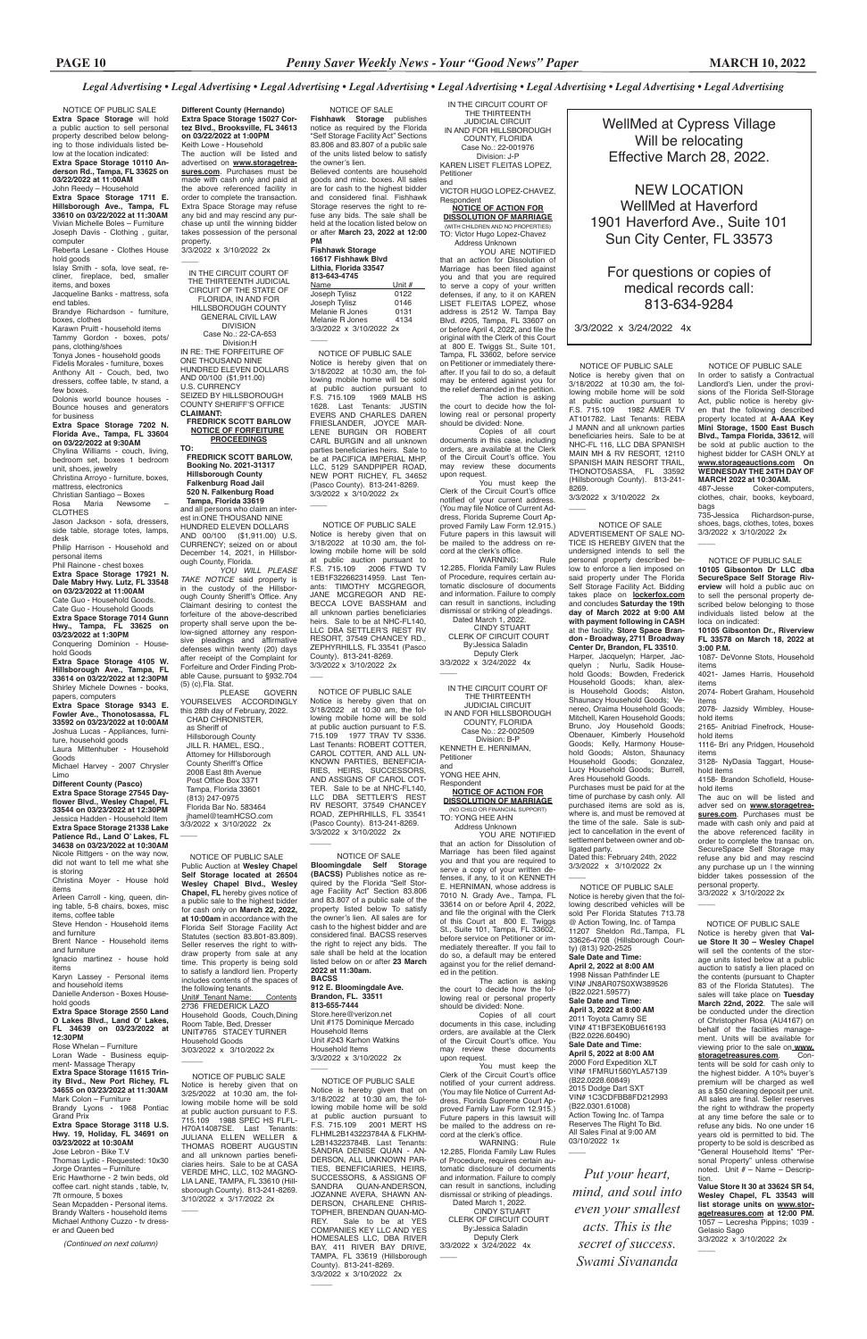**Different County (Hernando) Extra Space Storage 15027 Cortez Blvd., Brooksville, FL 34613 on 03/22/2022 at 1:00PM**  Keith Lowe - Household The auction will be listed and

3/3/2022 x 3/10/2022 2x  $\overline{\phantom{a}}$ 

advertised on **www.storagetreasures.com**. Purchases must be made with cash only and paid at the above referenced facility in order to complete the transaction. Extra Space Storage may refuse any bid and may rescind any purchase up until the winning bidder takes possession of the personal property.

 NOTICE OF PUBLIC SALE **Extra Space Storage** will hold a public auction to sell personal property described below belonging to those individuals listed below at the location indicated: **Extra Space Storage 10110 Anderson Rd., Tampa, FL 33625 on 03/22/2022 at 11:00AM**

John Reedy – Household **Extra Space Storage 1711 E. Hillsborough Ave., Tampa, FL 33610 on 03/22/2022 at 11:30AM** Vivian Michelle Boles – Furniture Joseph Davis - Clothing , guitar,

computer Reberta Lesane - Clothes House hold goods

Islay Smith - sofa, love seat, recliner, fireplace, bed, smaller items, and boxes

Jacqueline Banks - mattress, sofa end tables.

Brandye Richardson - furniture, boxes, clothes

Karawn Pruitt - household items Tammy Gordon - boxes, pots/

pans, clothing/shoes Tonya Jones - household goods

Fidelis Morales - furniture, boxes Anthony Alt - Couch, bed, two dressers, coffee table, tv stand, a few boxes.

Dolonis world bounce houses - Bounce houses and generators for business

**Extra Space Storage 7202 N. Florida Ave., Tampa, FL 33604 on 03/22/2022 at 9:30AM**

Chylina Williams - couch, living, bedroom set, boxes 1 bedroom

Rose Whelan – Furniture Loran Wade - Business equipment- Massage Therapy **Extra Space Storage 11615 Trinity Blvd., New Port Richey, FL 34655 on 03/23/2022 at 11:30AM** Mark Colon – Furniture Brandy Lyons - 1968 Pontiac Grand Prix

unit, shoes, jewelry Christina Arroyo - furniture, boxes,

mattress, electronics

Christian Santiago – Boxes Newsome CLOTHES

Jason Jackson - sofa, dressers, side table, storage totes, lamps,

desk Philip Harrison - Household and

personal items Phil Rainone - chest boxes

**Extra Space Storage 17921 N. Dale Mabry Hwy. Lutz, FL 33548 on 03/23/2022 at 11:00AM**

Cate Guo - Household Goods. Cate Guo - Household Goods **Extra Space Storage 7014 Gunn Hwy., Tampa, FL 33625 on** 

**03/23/2022 at 1:30PM** Conquering Dominion - Household Goods

**Extra Space Storage 4105 W. Hillsborough Ave., Tampa, FL 33614 on 03/22/2022 at 12:30PM** Shirley Michele Downes - books, papers, computers

**Extra Space Storage 9343 E. Fowler Ave., Thonotosassa, FL 33592 on 03/23/2022 at 10:00AM**  Joshua Lucas - Appliances, furni-

> FLHML2B143223784A & FLKHM-L2B143223784B. Last Tenants: SANDRA DENISE QUAN - AN-DERSON, ALL UNKNOWN PAR-TIES, BENEFICIARIES, HEIRS, SUCCESSORS, & ASSIGNS OF SANDRA QUAN-ANDERSON, JOZANNE AVERA, SHAWN AN-DERSON, CHARLENE CHRIS-TOPHER, BRENDAN QUAN-MO-REY. Sale to be at YES COMPANIES KEY LLC AND YES HOMESALES LLC, DBA RIVER BAY, 411 RIVER BAY DRIVE, TAMPA, FL 33619 (Hillsborough County). 813-241-8269. 3/3/2022 x 3/10/2022 2x  $\overline{\phantom{a}}$

 $\overline{\phantom{a}}$ 

ture, household goods Laura Mittenhuber - Household Goods

Michael Harvey - 2007 Chrysler Limo

**Different County (Pasco)** 

**Extra Space Storage 27545 Dayflower Blvd., Wesley Chapel, FL 33544 on 03/23/2022 at 12:30PM**  Jessica Hadden - Household Item **Extra Space Storage 21338 Lake Patience Rd., Land O' Lakes, FL 34638 on 03/23/2022 at 10:30AM**  Nicole Rittgers - on the way now,

3/3/2022 x 3/10/2022 2x  $\overline{\phantom{a}}$ 

did not want to tell me what she is storing Christina Moyer - House hold

items Arleen Carroll - king, queen, din-

ing table, 5-8 chairs, boxes, misc items, coffee table

Steve Hendon - Household items and furniture

Brent Nance - Household items and furniture

Ignacio martinez - house hold items

Karyn Lassey - Personal items

and household items Danielle Anderson - Boxes Household goods

#### **Extra Space Storage 2550 Land O Lakes Blvd., Land O' Lakes, FL 34639 on 03/23/2022 at 12:30PM**

#### **Extra Space Storage 3118 U.S. Hwy. 19, Holiday, FL 34691 on 03/23/2022 at 10:30AM**

Jose Lebron - Bike T.V Thomas Lydic - Requested: 10x30 Jorge Orantes – Furniture Eric Hawthorne - 2 twin beds, old coffee cart. night stands , table, tv, 7ft ormoure, 5 boxes Sean Mcpadden - Personal items. Brandy Walters - household items Michael Anthony Cuzzo - tv dresser and Queen bed

*(Continued on next column)* 

 NOTICE OF PUBLIC SALE Notice is hereby given that on 3/18/2022 at 10:30 am, the following mobile home will be sold at public auction pursuant to<br>F.S. 715.109 2006 FTWD TV 2006 FTWD TV 1EB1F322662314959. Last Tenants: TIMOTHY MCGREGOR, JANE MCGREGOR AND RE-BECCA LOVE BASSHAM and all unknown parties beneficiaries heirs. Sale to be at NHC-FL140, LLC DBA SETTLER'S REST RV RESORT, 37549 CHANCEY RD., ZEPHYRHILLS, FL 33541 (Pasco County). 813-241-8269. 3/3/2022 x 3/10/2022 2x

cord at the clerk's office.<br>WARNING WARNING: Rule 12.285, Florida Family Law Rules of Procedure, requires certain automatic disclosure of documents and information. Failure to comply can result in sanctions, including dismissal or striking of pleadings.

Dated March 1, 2022. CINDY STUART CLERK OF CIRCUIT COURT By:Jessica Saladin Deputy Clerk

3/3/2022 x 3/24/2022 4x  $\overline{\phantom{a}}$ 

 NOTICE OF PUBLIC SALE Notice is hereby given that on 3/18/2022 at 10:30 am, the following mobile home will be sold at public auction pursuant to F.S. 715.109 1977 TRAV TV S336. Last Tenants: ROBERT COTTER, CAROL COTTER, AND ALL UN-KNOWN PARTIES, BENEFICIA-RIES, HEIRS, SUCCESSORS, AND ASSIGNS OF CAROL COT-TER. Sale to be at NHC-FL140, LLC DBA SETTLER'S REST RV RESORT, 37549 CHANCEY ROAD, ZEPHRHILLS, FL 33541 (Pasco County). 813-241-8269. 3/3/2022 x 3/10/2022 2x

 $\overline{\phantom{a}}$ 

 $\overline{\phantom{a}}$ 

 $\overline{\phantom{a}}$ 

the court to decide how the following real or personal property should be divided: None.

You must keep the Clerk of the Circuit Court's office notified of your current address. (You may file Notice of Current Address, Florida Supreme Court Approved Family Law Form 12.915.) Future papers in this lawsuit will be mailed to the address on record at the clerk's office.<br>WARNING:

 NOTICE OF PUBLIC SALE Notice is hereby given that on 3/18/2022 at 10:30 am, the following mobile home will be sold at public auction pursuant to F.S. 715.109 2001 MERT HS

 NOTICE OF PUBLIC SALE Notice is hereby given that on 3/18/2022 at 10:30 am, the following mobile home will be sold at public auction pursuant to F.S. 715.109 1982 AMER TV AT101782. Last Tenants: REBA J MANN and all unknown parties beneficiaries heirs. Sale to be at NHC-FL 116, LLC DBA SPANISH MAIN MH & RV RESORT, 12110 SPANISH MAIN RESORT TRAIL, THONOTOSASSA, FL 33592 (Hillsborough County). 813-241- 8269.

**DIVISION** Case No.: 22-CA-653

 NOTICE OF SALE **Fishhawk Storage** publishes notice as required by the Florida "Self Storage Facility Act" Sections 83.806 and 83.807 of a public sale of the units listed below to satisfy the owner's lien.

Believed contents are household goods and misc. boxes. All sales are for cash to the highest bidder and considered final. Fishhawk Storage reserves the right to refuse any bids. The sale shall be held at the location listed below on or after **March 23, 2022 at 12:00 PM**

| <b>Fishhawk Storage</b><br>16617 Fishhawk Blvd |        |
|------------------------------------------------|--------|
| Lithia. Florida 33547                          |        |
| 813-643-4745                                   |        |
| Name                                           | Unit # |
| Joseph Tylisz                                  | 0122   |
| Joseph Tylisz                                  | 0146   |
| Melanie R Jones                                | 0131   |
| Melanie R Jones                                | 4134   |
| 3/3/2022 x 3/10/2022 2x                        |        |
|                                                |        |

 (813) 247-0975 Florida Bar No. 583464 jhamel@teamHCSO.com 3/3/2022 x 3/10/2022 2x  $\overline{\phantom{a}}$ 

 NOTICE OF PUBLIC SALE Notice is hereby given that on 3/18/2022 at 10:30 am, the following mobile home will be sold at public auction pursuant to F.S. 715.109 1969 MALB HS 1628. Last Tenants: JUSTIN EVERS AND CHARLES DAREN FRIESLANDER, JOYCE MAR-LENE BURGIN OR ROBERT CARL BURGIN and all unknown parties beneficiaries heirs. Sale to be at PACIFICA IMPERIAL MHP, LLC, 5129 SANDPIPER ROAD, NEW PORT RICHEY, FL 34652 (Pasco County). 813-241-8269. 3/3/2022 x 3/10/2022 2x

IN THE CIRCUIT COURT OF THE THIRTEENTH JUDICIAL CIRCUIT IN AND FOR HILLSBOROUGH COUNTY, FLORIDA Case No.: 22-001976 Division: J-P

KAREN LISET FLEITAS LOPEZ, Petitioner and

> NOTICE OF PUBLIC SALE In order to satisfy a Contractual Landlord's Lien, under the provisions of the Florida Self-Storage Act, public notice is hereby given that the following described property located at **A-AAA Key Mini Storage, 1500 East Busch Blvd., Tampa Florida, 33612**, will be sold at public auction to the highest bidder for CASH ONLY at **www.storageauctions.com On WEDNESDAY THE 24TH DAY OF MARCH 2022 at 10:30AM.** Coker-computers

VICTOR HUGO LOPEZ-CHAVEZ, Respondent

**NOTICE OF ACTION FOR DISSOLUTION OF MARRIAGE** (WITH CHILDREN AND NO PROPERTIES) TO: Victor Hugo Lopez-Chavez

> 735-Jessica Richardson-purse, shoes, bags, clothes, totes, boxes 3/3/2022 x 3/10/2022 2x  $\overline{\phantom{a}}$

 Address Unknown YOU ARE NOTIFIED that an action for Dissolution of Marriage has been filed against you and that you are required to serve a copy of your written defenses, if any, to it on KAREN LISET FLEITAS LOPEZ, whose address is 2512 W. Tampa Bay Blvd. #205, Tampa, FL 33607 on or before April 4, 2022, and file the original with the Clerk of this Court at 800 E. Twiggs St., Suite 101, Tampa, FL 33602, before service on Petitioner or immediately thereafter. If you fail to do so, a default may be entered against you for

the relief demanded in the petition. The action is asking the court to decide how the following real or personal property should be divided: None.

Copies of all court documents in this case, including orders, are available at the Clerk of the Circuit Court's office. You may review these documents upon request.

You must keep the Clerk of the Circuit Court's office notified of your current address. (You may file Notice of Current Address, Florida Supreme Court Ap-proved Family Law Form 12.915.) Future papers in this lawsuit will be mailed to the address on re-

> $\overline{\phantom{a}}$ NOTICE OF PUBLIC SALE Notice is hereby given that the following described vehicles will be sold Per Florida Statutes 713.78 @ Action Towing, Inc. of Tampa 11207 Sheldon Rd.,Tampa, FL 33626-4708 (Hillsborough County) (813) 920-2525

(B22.0221.59577) **Sale Date and Time: April 3, 2022 at 8:00 AM** 2011 Toyota Camry SE VIN# 4T1BF3EK0BU616193 (B22.0226.60490) **Sale Date and Time: April 5, 2022 at 8:00 AM** 2000 Ford Expedition XLT VIN# 1FMRU1560YLA57139 (B22.0228.60849) 2015 Dodge Dart SXT VIN# 1C3CDFBB8FD212993 (B22.0301.61008) Action Towing Inc. of Tampa Reserves The Right To Bid. All Sales Final at 9:00 AM 03/10/2022 1x  $\overline{\phantom{a}}$ 

IN THE CIRCUIT COURT OF THE THIRTEENTH JUDICIAL CIRCUIT IN AND FOR HILLSBOROUGH COUNTY, FLORIDA Case No.: 22-002509 Division: B-P KENNETH E. HERNIMAN, Petitioner and YONG HEE AHN, Respondent

## **NOTICE OF ACTION FOR DISSOLUTION OF MARRIAGE** (NO CHILD OR FINANCIAL SUPPORT) TO: YONG HEE AHN

 Address Unknown YOU ARE NOTIFIED that an action for Dissolution of Marriage has been filed against you and that you are required to serve a copy of your written defenses, if any, to it on KENNETH E. HERNIMAN, whose address is 7010 N. Grady Ave., Tampa, FL 33614 on or before April 4, 2022, and file the original with the Clerk of this Court at 800 E. Twiggs St., Suite 101, Tampa, FL 33602, before service on Petitioner or immediately thereafter. If you fail to do so, a default may be entered against you for the relief demanded in the petition.

The action

Copies of all court documents in this case, including orders, are available at the Clerk of the Circuit Court's office. You may review these documents upon request.

WARNING: Rule 12.285, Florida Family Law Rules of Procedure, requires certain automatic disclosure of documents and information. Failure to comply can result in sanctions, including dismissal or striking of pleadings.

 Dated March 1, 2022. CINDY STUART CLERK OF CIRCUIT COURT By:Jessica Saladin Deputy Clerk 3/3/2022 x 3/24/2022 4x

 NOTICE OF PUBLIC SALE Public Auction at **Wesley Chapel Self Storage located at 26504 Wesley Chapel Blvd., Wesley Chapel, FL** hereby gives notice of a public sale to the highest bidder for cash only on **March 22, 2022, at 10:00am** in accordance with the Florida Self Storage Facility Act Statutes (section 83.801-83.809). Seller reserves the right to withdraw property from sale at any time. This property is being sold to satisfy a landlord lien. Property includes contents of the spaces of

#### the following tenants. Unit# Tenant Name: Contents 2736 FREDERICK LAZO Household Goods, Couch,Dining Room Table, Bed, Dresser UNIT#765 STACEY TURNER Household Goods 3/03/2022 x 3/10/2022 2x

 $\overline{\phantom{a}}$ 

 $\overline{\phantom{a}}$ 

## NOTICE OF SALE

**Bloomingdale Self Storage (BACSS)** Publishes notice as required by the Florida "Self Storage Facility Act" Section 83.806 and 83.807 of a public sale of the property listed below To satisfy the owner's lien. All sales are for cash to the highest bidder and are considered final. BACSS reserves the right to reject any bids. The sale shall be held at the location listed below on or after **23 March 2022 at 11:30am.**

**BACSS**

 $\overline{\phantom{a}}$ 

#### **912 E. Bloomingdale Ave. Brandon, FL. 33511 813-655-7444**

Store.here@verizon.net Unit #175 Dominique Mercado Household Items Unit #243 Karhon Watkins Household Items 3/3/2022 x 3/10/2022 2x

IN THE CIRCUIT COURT OF THE THIRTEENTH JUDICIAL CIRCUIT OF THE STATE OF FLORIDA, IN AND FOR HILLSBOROUGH COUNTY GENERAL CIVIL LAW

 Division:H IN RE: THE FORFEITURE OF ONE THOUSAND NINE HUNDRED ELEVEN DOLLARS AND 00/100 (\$1,911.00) U.S. CURRENCY SEIZED BY HILLSBOROUGH

COUNTY SHERIFF'S OFFICE **CLAIMANT: FREDRICK SCOTT BARLOW**

 **NOTICE OF FORFEITURE PROCEEDINGS TO:**

 **FREDRICK SCOTT BARLOW, Booking No. 2021-31317 Hillsborough County Falkenburg Road Jail 520 N. Falkenburg Road** 

 **Tampa, Florida 33619** and all persons who claim an interest in:ONE THOUSAND NINE HUNDRED ELEVEN DOLLARS AND 00/100 (\$1,911.00) U.S. CURRENCY; seized on or about December 14, 2021, in Hillsborough County, Florida.

*YOU WILL PLEASE TAKE NOTICE* said property is in the custody of the Hillsborough County Sheriff's Office. Any Claimant desiring to contest the forfeiture of the above-described property shall serve upon the below-signed attorney any responsive pleadings and affirmative defenses within twenty (20) days after receipt of the Complaint for Forfeiture and Order Finding Probable Cause, pursuant to §932.704 (5) (c),Fla. Stat.

PLEASE GOVERN YOURSELVES ACCORDINGLY this 28th day of February, 2022. CHAD CHRONISTER, as Sheriff of Hillsborough County JILL R. HAMEL, ESQ., Attorney for Hillsborough County Sheriff's Office 2008 East 8th Avenue Post Office Box 3371 Tampa, Florida 33601

WellMed at Cypress Village Will be relocating Effective March 28, 2022.

NEW LOCATION WellMed at Haverford 1901 Haverford Ave., Suite 101 Sun City Center, FL 33573

For questions or copies of medical records call: 813-634-9284

3/3/2022 x 3/24/2022 4x

 NOTICE OF PUBLIC SALE **10105 Gibsonton Dr LLC dba SecureSpace Self Storage Riv-**

**erview** will hold a public auc on to sell the personal property described below belonging to those individuals listed below at the loca on indicated: **10105 Gibsonton Dr., Riverview FL 33578 on March 18, 2022 at** 

**3:00 P.M.** 1087- DeVonne Stots, Household items

4021- James Harris, Household items

2074- Robert Graham, Household items

2078- Jazsidy Wimbley, Household items

2165- Anitriad Finefrock, Household items

1116- Bri any Pridgen, Household items

3128- NyDasia Taggart, Household items

4158- Brandon Schofield, Household items

The auc on will be listed and adver sed on **www.storagetreasures.com**. Purchases must be made with cash only and paid at the above referenced facility in order to complete the transac on. SecureSpace Self Storage may refuse any bid and may rescind any purchase up un l the winning bidder takes possession of the personal property. 3/3/2022 x 3/10/2022 2x

clothes, chair, books, keyboard, bags

 NOTICE OF PUBLIC SALE Notice is hereby given that **Val-ue Store It 30 – Wesley Chapel**  will sell the contents of the storage units listed below at a public auction to satisfy a lien placed on the contents (pursuant to Chapter

 $\overline{\phantom{a}}$ 

83 of the Florida Statutes). The sales will take place on **Tuesday March 22nd, 2022**. The sale will be conducted under the direction of Christopher Rosa (AU4167) on behalf of the facilities management. Units will be available for viewing prior to the sale on **www.** storagetreasures.com. tents will be sold for cash only to the highest bidder. A 10% buyer's premium will be charged as well as a \$50 cleaning deposit per unit. All sales are final. Seller reserves the right to withdraw the property at any time before the sale or to refuse any bids. No one under 16 years old is permitted to bid. The property to be sold is described as "General Household Items" "Personal Property" unless otherwise noted. Unit # – Name – Description.

**Value Store It 30 at 33624 SR 54, Wesley Chapel, FL 33543 will list storage units on www.storagetreasures.com at 12:00 PM.**  1057 – Lecresha Pippins; 1039 - Gelasio Sago 3/3/2022 x 3/10/2022 2x

 $\overline{\phantom{a}}$ 

 NOTICE OF SALE ADVERTISEMENT OF SALE NO-TICE IS HEREBY GIVEN that the undersigned intends to sell personal property described below to enforce a lien imposed on said property under The Florida Self Storage Facility Act. Bidding takes place on **lockerfox.com** and concludes **Saturday the 19th day of March 2022 at 9:00 AM with payment following in CASH**  at the facility. **Store Space Brandon - Broadway, 2711 Broadway Center Dr, Brandon, FL 33510**. Harper, Jacquelyn; Harper, Jacquelyn ; Nurlu, Sadik Household Goods; Bowden, Frederick Household Goods; khan, alexis Household Goods; Alston, Shaunacy Household Goods; Venereo, Oraima Household Goods; Mitchell, Karen Household Goods; Bruno, Joy Household Goods; Obenauer, Kimberly Household Drains, Co., Co., Cherly Household<br>Goods; Kelly, Harmony Household Goods; Alston, Shaunacy<br>Household Goods; Gonzalez, Household Goods; Lucy Household Goods; Burrell, Ares Household Goods. Purchases must be paid for at the time of purchase by cash only. All purchased items are sold as is, where is, and must be removed at the time of the sale. Sale is subject to cancellation in the event of settlement between owner and obligated party. Dated this: February 24th, 2022 3/3/2022 x 3/10/2022 2x

**Sale Date and Time: April 2, 2022 at 8:00 AM** 1998 Nissan Pathfinder LE VIN# JN8AR07S0XW389526

## *Put your heart,*

*mind, and soul into even your smallest acts. This is the secret of success.*

*Swami Sivananda*

 NOTICE OF PUBLIC SALE Notice is hereby given that on 3/25/2022 at 10:30 am, the following mobile home will be sold at public auction pursuant to F.S. 715.109 1988 SPEC HS FLFL-H70A14087SE. Last Tenants: JULIANA ELLEN WELLER & THOMAS ROBERT AUGUSTIN and all unknown parties beneficiaries heirs. Sale to be at CASA VERDE MHC, LLC, 102 MAGNO-LIA LANE, TAMPA, FL 33610 (Hillsborough County). 813-241-8269. 3/10/2022 x 3/17/2022 2x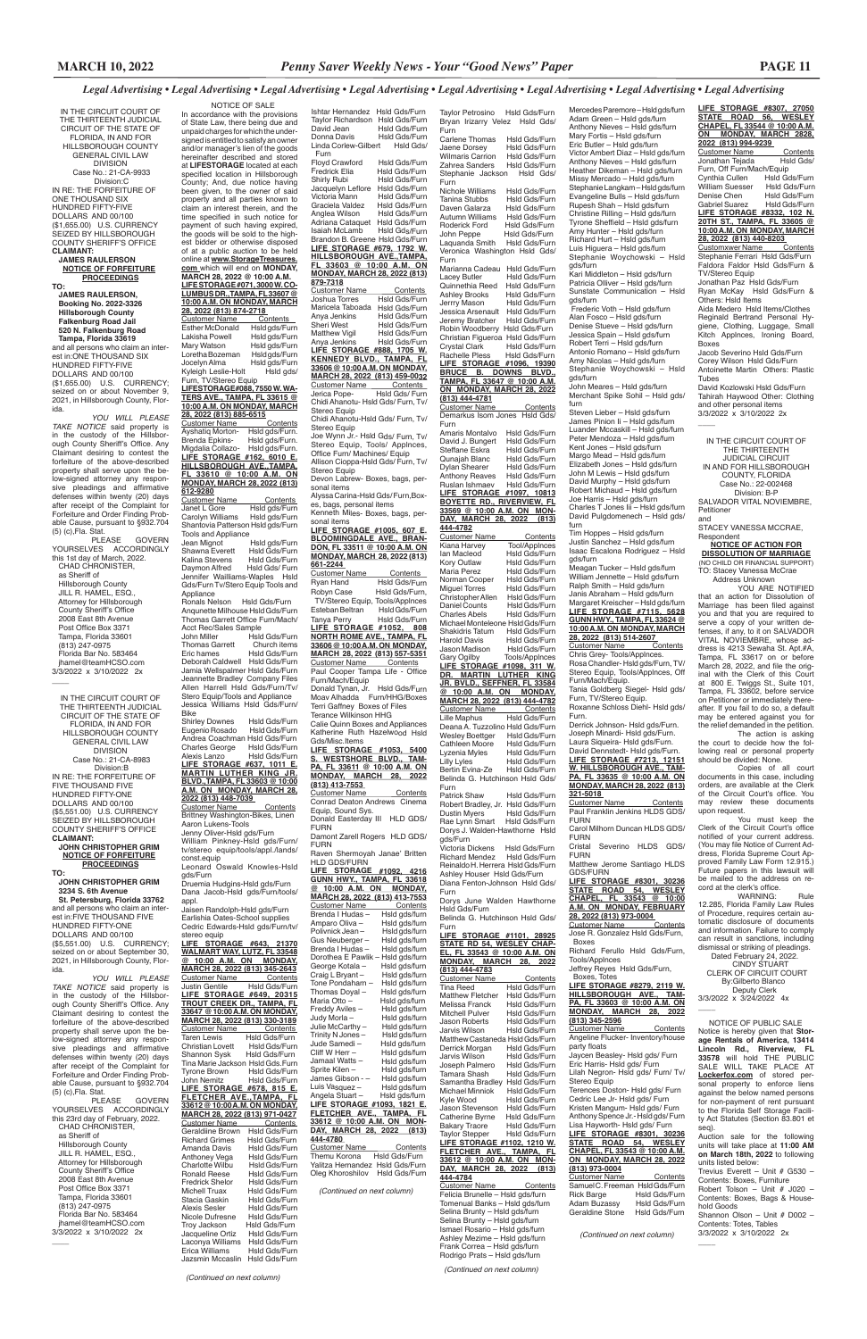Ishtar Hernandez Hsld Gds/Furn

 NOTICE OF SALE In accordance with the provisions of State Law, there being due and unpaid charges for which the undersigned is entitled to satisfy an owner and/or manager's lien of the goods hereinafter described and stored at **LIFESTORAGE** located at each specified location in Hillsborough County; And, due notice having been given, to the owner of said property and all parties known to claim an interest therein, and the time specified in such notice for payment of such having expired, the goods will be sold to the highest bidder or otherwise disposed of at a public auction to be held online at **www.StorageTreasures. com** which will end on **MONDAY, MARCH 28, 2022 @ 10:00 A.M. LIFE STORAGE #071, 3000 W. CO-LUMBUS DR.,TAMPA, FL 33607 @ 10:00 A.M. ON MONDAY, MARCH 28, 2022 (813) 874-2718**  Customer Name Contents<br>Esther McDonald Hsldgds/Furn Esther McDonald<br>Lakisha Powell Hsld gds/Furn Mary Watson Hsld gds/Furn<br>Loretha Bozeman Hsld gds/Furn Loretha Bozeman<br>Jocelyn Alma Hsld gds/Furn Kyleigh Leslie-Holt Hsld gds/ Furn, TV/Stereo Equip **LIFESTORAGE#088, 7550 W. WA-TERS AVE., TAMPA, FL 33615 @ 10:00 A.M. ON MONDAY, MARCH 28, 2022 (813) 885-6515** Customer Name Contents<br>Ayshatiq Morton- Hsld gds/Furn. Ayshatiq Morton- Hsld gds/Furn.<br>Brenda Epkins- Hsld gds/Furn. Brenda Epkins-Migdalia Collazo- Hsld gds/Furn. **LIFE STORAGE #162, 6010 E. HILLSBOROUGH AVE.,TAMPA, FL 33610 @ 10:00 A.M. ON MONDAY, MARCH 28, 2022 (813) 612-9280** Customer Name Contents<br>Janet L Gore Hsld gds/Furn Janet L Gore Hsld gds/Furn<br>Carolyn Williams Hsld gds/Furn Hsld gds/Furn Shantovia Patterson Hsld gds/Furn Tools and Appliance<br>Jean Mignot Jean Mignot Hsld gds/Furn<br>Shawna Everett Hsld Gds/Furn Hsld Gds/Furn<br>Hsld Gds/Furn Kalina Stevens<br>Daymon Alfred Hsld Gds/ Furn Jennifer Wailliams-Waples Hsld Gds/Furn Tv/Stero Equip Tools and Appliance Ronals Nelson Hsld Gds/Furn Anqunette Milhouse Hsld Gds/Furn Thomas Garrett Office Furn/Mach/ Acct Rec/Sales Sample<br>John Miller Hslo Hsld Gds/Furn<br>Church items Thomas Garrett Church items<br>Eric hames Hsld Gds/Furn Eric hames Hsld Gds/Furn Deborah Caldwell Hsld Gds/Furn Jamia Wellspalmer Hsld Gds/Furn Jeannette Bradley Company Files Allen Harrell Hsld Gds/Furn/Tv/ Stero Equip/Tools and Appliance Jessica Williams Hsld Gds/Furn/ Bike Shirley Downes Hsld Gds/Furn<br>Eugenio Rosado Hsld Gds/Furn Eugenio Rosado Andrea Coachman Hsld Gds/Furn Charles George Hsld Gds/Furn<br>Alexis Lanzo Hsld Gds/Furn Alexis Lanzo Hsld Gds/Furn **LIFE STORAGE #637, 1011 E. MARTIN LUTHER KING JR. BLVD.,TAMPA, FL 33603 @ 10:00 A.M. ON MONDAY, MARCH 28, 2022 (813) 448-7039**  Customer Name Contents Brittney Washington-Bikes, Linen Aaron Lukens-Tools Jenny Oliver-Hsld gds/Furn William Pinkney-Hsld gds/Furn/ tv/stereo equip/tools/appl./lands/ const.equip Leonard Oswald Knowles-Hsld gds/Furn Druemia Hudgins-Hsld gds/Furn Dana Jacob-Hsld gds/Furn/tools/ appl. Jaisen Randolph-Hsld gds/Furn Earlishia Oates-School supplies Cedric Edwards-Hsld gds/Furn/tv/ stereo equip **LIFE STORAGE #643, 21370 WALMART WAY, LUTZ, FL 33548 @ 10:00 A.M. ON MONDAY, MARCH 28, 2022 (813) 345-2643 Customer Name** Contents<br>
Justin Gentile Hsld Gds/Furn Justin Gentile Hsld Gds/Furn **LIFE STORAGE #649, 20315 TROUT CREEK DR., TAMPA, FL 33647 @ 10:00 A.M. ON MONDAY, MARCH 28, 2022 (813) 330-3189** Customer Name<br>Taren Lewis Taren Contents<br>The Gds/Furn<br>The Gds/Furn Christian Lovett<br>Shannon Sysk Hsld Gds/Furn Tina Marie Jackson Hsld Gds.Furn Tyrone Brown<br>John Nemitz Hsld Gds/Furn **LIFE STORAGE #678, 815 E. FLETCHER AVE.,TAMPA, FL 33612 @ 10:00 A.M. ON MONDAY, MARCH 28, 2022 (813) 971-0427** Customer Name<br>Geraldiine Brown Hsld Gds/Furn Hsld Gds/Furn<br>Hsld Gds/Furn Richard Grimes<br>Amanda Davis Hsld Gds/Furn<br>Hsld Gds/Furn Anthoney Vega Hsld Gds/Furn Charlotte Wilbu Hsld Gds/Furn Ronald Reese Hsld Gds/Furn<br>Fredrick Shelor Hsld Gds/Furn Fredrick Shelor<br>Michell Truax Michell Truax Hsld Gds/Furn<br>Stacia Gaskin Hsld Gds/Furn Stacia Gaskin Hsld Gds/Furn<br>Alexis Sesler Hsld Gds/Furn Alexis Sesler Hsld Gds/Furn<br>Nicole Dufresne Hsld Gds/Furn Nicole Dufresne Hsld Gds/Furn<br>Troy Jackson Hsld Gds/Furn Hsld Gds/Furn<br>Hsld Gds/Furn Jacqueline Ortiz Hsld Gds/Furn<br>I aconva Williams Hsld Gds/Furn Laconya Williams Hsld Gds/Furn Erica Williams Hsld Gds/Furn<br>Jazsmin Mccaslin Hsld Gds/Furn Jazsmin Mccaslin

Taylor Richardson Hsld Gds/Furn Hsld Gds/Furn Donna Davis Hsld Gds/Furn Linda Corlew-Gilbert Hsld Gds/ Furn Floyd Crawford Hsld Gds/Furn Fredrick Elia Hsld Gds/Furn Shirly Rubi Hsld Gds/Furn Jacquelyn Leflore Hsld Gds/Furn<br>Victoria Mann Hsld Gds/Furn Hsld Gds/Furn Graciela Valdez Hsld Gds/Furn<br>Anglea Wilson Hsld Gds/Furn Anglea Wilson Adriana Cataquet Hsld Gds/Furn Isaiah McLamb Hsld Gds/Furn Brandon B. Greene Hsld Gds/Furn **LIFE STORAGE #679, 1792 W. HILLSBOROUGH AVE.,TAMPA, FL 33603 @ 10:00 A.M. ON MONDAY, MARCH 28, 2022 (813) 879-7318** Customer Name Contents<br>Joshua Torres Hsld Gds/Furn Maricela Taboada Hsld Gds/Furn Anya Jenkins Hsld Gds/Furn<br>Sheri West Hsld Gds/Furn Hsld Gds/Furn Matthew Vigil Hsld Gds/Furn<br>Anya Jenkins Hsld Gds/Furn Hsld Gds/Furn **LIFE STORAGE #888, 1705 W. KENNEDY BLVD., TAMPA, FL 33606 @ 10:00 A.M. ON MONDAY, MARCH 28, 2022 (813) 459-0032** Customer Name Contents Jerica Pope- Hsld Gds/ Furn Chidi Ahanotu- Hsld Gds/ Furn, Tv/ Stereo Equip Chidi Ahanotu-Hsld Gds/ Furn, Tv/ Stereo Equip Joe Wynn Jr.- Hsld Gds/ Furn, Tv/ Stereo Equip, Tools/ Applnces, Office Furn/ Machines/ Equip Allison Cioppa-Hsld Gds/ Furn, Tv/ Stereo Equip Devon Labrew- Boxes, bags, personal items Alyssa Carina-Hsld Gds/ Furn,Boxes, bags, personal items Kenneth Miles- Boxes, bags, personal items **LIFE STORAGE #1005, 607 E. BLOOMINGDALE AVE., BRAN-DON, FL 33511 @ 10:00 A.M. ON MONDAY, MARCH 28, 2022 (813) 661-2244**  Customer Name Contents Ryan Hand Hsld Gds/Furn Robyn Case Hsld Gds/Furn, TV/Stereo Equip, Tools/Applnces Esteban Beltran<br>Tanya Perry Hsld Gds/Furn **LIFE STORAGE #1052, 808 NORTH ROME AVE., TAMPA, FL 33606 @ 10:00 A.M. ON MONDAY, MARCH 28, 2022 (813) 557-5351**  Customer Name Paul Cooper Tampa Life - Office Furn/Mach/Equip Donald Tynan, Jr. Hsld Gds/Furn Moav Alhadda Furn/HHG/Boxes Terri Gaffney Boxes of Files Terance Wilkinson HHG Calie Quinn Boxes and Appliances Katherine Ruth Hazelwood Hsld Gds/Misc.Items **LIFE STORAGE #1053, 5400 S. WESTSHORE BLVD., TAM-PA, FL 33611 @ 10:00 A.M. ON MONDAY, MARCH 28, 2022 (813) 413-7553**  Customer Name Contents Conrad Deaton Andrews Cinema Equip, Sound Sys. Donald Easterday III HLD GDS/ FURN Damont Zarell Rogers HLD GDS/ FURN Raven Shermoyah Janae' Britten HLD GDS/FURN **LIFE STORAGE #1092, 4216 GUNN HWY., TAMPA, FL 33618 @ 10:00 A.M. ON MONDAY, MARCH 28, 2022 (813) 413-7553**  Customer Name Contents Brenda I Hudas – Hsld gds/furn<br>Amparo Oliva – Hsld gds/furn Amparo Oliva – Hsld gds/furn<br>Polivnick Jean – Hsld gds/furn Polivnick Jean – Hsld gds/furn<br>Gus Neuberger – Hsld gds/furn Gus Neuberger – Hsld gds/furn<br>Brenda I Hudas – Hsld gds/furn Brenda I Hudas –<br>Dorothea E Pawlik - Hsld gds/furn<br>Hsld gds/furn George Kotala – Hsld gds/furn<br>Craig L Bryant – Hsld gds/furn Craig L Bryant -Tone Pondaharn – Hsld gds/furn Thomas Doyal – Hsld gds/furn Maria Otto – Hsld gds/furn<br>Freddy Aviles – Hsld gds/furn Hsld gds/furn Judy Morla – Hsld gds/furn<br>Julie McCarthy – Hsld gds/furn Julie McCarthy – Hsld gds/furn Trinity N Jones - Hsld gds/furn<br>Jude Samedi - Hsld gds/furn Jude Samedi –<br>Cliff W Herr – Hsld gds/furn<br>Hsld gds/furn Jamaal Watts -<br>Sprite Kilen – Sprite Kilen – Hsld gds/furn<br>James Gibson - Hsld gds/furn James Gibson - – Hsld gds/furn<br>Luis Vasquez – Hsld gds/furn Luis Vasquez – Hsld gds/furn<br>Angela Stuart – Hsld gds/furn Hsld gds/furn **LIFE STORAGE #1093, 1821 E. FLETCHER AVE., TAMPA, FL 33612 @ 10:00 A.M. ON MON-DAY, MARCH 28, 2022 (813) 444-4780**  Customer Name Contents Themu Korona Hsld Gds/Furn Yalitza Hernandez Hsld Gds/Furn Oleg Khoroshilov Hsld Gds/Furn

 *(Continued on next column)*

**TV/Stereo Equip** Jonathan Paz Hsld Gds/Furn Ryan McKay Hsld Gds/Furn & Others: Hsld Items

Jacob Severino Hsld Gds/Furn Corey Wilson Hsld Gds/Furn Antoinette Martin Others: Plastic **Tubes** 

**LIFE STORAGE #8301, 30236 STATE ROAD 54, WESLEY CHAPEL, FL 33543 @ 10:00 A.M. ON MONDAY, FEBRUARY 28, 2022 (813) 973-0004**  Customer Name Contents

**LIFE STORAGE #8279, 2119 W. HILLSBOROUGH AVE., TAM-PA, FL 33603 @ 10:00 A.M. ON MONDAY, MARCH 28, 2022** Deputy Clerk 3/3/2022 x 3/24/2022 4x  $\overline{\phantom{a}}$ 

*(Continued on next column)*

**LIFE STORAGE #8307, 27050** 

**STATE ROAD 56, WESLEY CHAPEL, FL 33544 @ 10:00 A.M. ON MONDAY, MARCH 2828, 2022 (813) 994-9239**  Customer Name Contents<br>Jonathan Tejada Hsld Gds/ Jonathan Tejada Furn, Off Furn/Mach/Equip<br>Cynthia Cullen Hsld Gds/Furn Cynthia Cullen Hsld Gds/Furn<br>William Suesser Hsld Gds/Furn William Suesser Hsld Gds/Furn<br>Denise Chen Hsld Gds/Furn Denise Chen Gabriel Suarez Hsld Gds/Furn **LIFE STORAGE #8332, 102 N. 20TH ST., TAMPA, FL 33605 @ 10:00 A.M. ON MONDAY, MARCH** 

**28, 2022 (813) 440-8203**  Customxwer Name Contents Stephanie Ferrari Hsld Gds/Furn Faldora Faldor Hsld Gds/Furn &

Aida Medero Hsld Items/Clothes Reginald Bertrand Personal Hygiene, Clothing, Luggage, Small Kitch Applnces, Ironing Board, Boxes

David Kozlowski Hsld Gds/Furn Tahirah Haywood Other: Clothing and other personal items 3/3/2022 x 3/10/2022 2x

 $\overline{\phantom{a}}$ 

WARNING: Rule 12.285, Florida Family Law Rules of Procedure, requires certain automatic disclosure of documents and information. Failure to comply can result in sanctions, including dismissal or striking of pleadings.

IN THE CIRCUIT COURT OF THE THIRTEENTH JUDICIAL CIRCUIT OF THE STATE OF FLORIDA, IN AND FOR HILL SBOROUGH COUNTY GENERAL CIVIL LAW DIVISION Case No.: 21-CA-9933 Division:C IN RE: THE FORFEITURE OF ONE THOUSAND SIX HUNDRED FIFTY-FIVE DOLLARS AND 00/100 (\$1,655.00) U.S. CURRENCY SEIZED BY HILLSBOROUGH COUNTY SHERIFF'S OFFICE **CLAIMANT: JAMES RAULERSON NOTICE OF FORFEITURE PROCEEDINGS TO: JAMES RAULERSON, Booking No. 2022-3326 Hillsborough County Falkenburg Road Jail 520 N. Falkenburg Road Tampa, Florida 33619** and all persons who claim an interest in:ONE THOUSAND SIX HUNDRED FIFTY-FIVE DOLLARS AND 00/100 (\$1,655.00) U.S. CURRENCY; seized on or about November 9, 2021, in Hillsborough County, Florida. *YOU WILL PLEASE TAKE NOTICE* said property is in the custody of the Hillsborough County Sheriff's Office. Any Claimant desiring to contest the forfeiture of the above-described property shall serve upon the below-signed attorney any responsive pleadings and affirmative defenses within twenty (20) days after receipt of the Complaint for Forfeiture and Order Finding Probable Cause, pursuant to §932.704 (5) (c),Fla. Stat. **GOVERN** 

Mercedes Paremore – Hsld gds/furn Adam Green – Hsld gds/furn Anthony Nieves – Hsld gds/furn Mary Fortis – Hsld gds/furn Eric Butler – Hsld gds/furn Victor Ambert Diaz – Hsld gds/furn Anthony Nieves – Hsld gds/furn Heather Dikeman – Hsld gds/furn Missy Mercado – Hsld gds/furn Stephanie Langkam – Hsld gds/furn Evangeline Bulls – Hsld gds/furn Rupesh Shah – Hsld gds/furn Christine Rilling – Hsld gds/furn Tyrone Sheffield – Hsld gds/furn Amy Hunter – Hsld gds/furn Richard Hurt – Hsld gds/furn Luis Higuera – Hsld gds/furn Stephanie Woychowski – Hsld gds/furn Kari Middleton – Hsld gds/furn Patricia Olliver – Hsld gds/furn Sunstate Communication – Hsld gds/furn Frederic Voth – Hsld gds/furn Alan Fosco – Hsld gds/furn Denise Stueve – Hsld gds/furn Jessica Spain – Hsld gds/furn Robert Terri – Hsld gds/furn Antonio Romano – Hsld gds/furn Amy Nicolas – Hsld gds/furn Stephanie Woychowski – Hsld gds/furn John Meares – Hsld gds/furn Merchant Spike Sohil - Hsld gds/ furn Steven Lieber – Hsld gds/furn James Pinion Ii – Hsld gds/furn Luander Mccaskill – Hsld gds/furn Peter Mendoza – Hsld gds/furn Kent Jones – Hsld gds/furn Margo Mead – Hsld gds/furn Elizabeth Jones – Hsld gds/furn John M Lewis – Hsld gds/furn David Murphy – Hsld gds/furn Robert Michaud – Hsld gds/furn Joe Harris – Hsld gds/furn Charles T Jones Iii – Hsld gds/furn David Pulgdomenech – Hsld gds/ furn Tim Hoppes – Hsld gds/furn Justin Sanchez – Hsld gds/furn Isaac Escalona Rodriguez – Hsld gds/furn Meagan Tucker – Hsld gds/furn William Jennette – Hsld gds/furn Ralph Smith – Hsld gds/furn Janis Abraham – Hsld gds/furn Margaret Kreischer – Hsld gds/furn **LIFE STORAGE #7115, 5628 GUNN HWY., TAMPA, FL 33624 @**  Chris Grey- Tools/Applnces. Furn/Mach/Equip. Furn, TV/Stereo Equip. Furn. Laura Siqueira- Hsld gds/Furn.

YOURSELVES ACCORDINGLY this 1st day of March, 2022. CHAD CHRONISTER, as Sheriff of Hillsborough County JILL R. HAMEL, ESQ., Attorney for Hillsborough

**TAKE NOTICE** said property in the custody of the Hillsborough County Sheriff's Office. Any Claimant desiring to contest the forfeiture of the above-described property shall serve upon the below-signed attorney any responsive pleadings and affirmative defenses within twenty (20) days after receipt of the Complaint for Forfeiture and Order Finding Probable Cause, pursuant to §932.704 (5) (c),Fla. Stat.

**10:00 A.M. ON MONDAY, MARCH 28, 2022 (813) 514-2607**  Customer Name Contents Rosa Chandler- Hsld gds/Furn, TV/ Stereo Equip, Tools/Applnces, Off Tania Goldberg Siegel- Hsld gds/ Roxanne Schloss Diehl- Hsld ads/ Derrick Johnson- Hsld gds/Furn. Joseph Minardi- Hsld gds/Furn. David Dennstedt- Hsld gds/Furn. **LIFE STORAGE #7213, 12151 W. HILLSBOROUGH AVE., TAM-PA, FL 33635 @ 10:00 A.M. ON** 

**MONDAY, MARCH 28, 2022 (813) 321-5018**  Customer Name Contents Paul Franklin Jenkins HLDS GDS/

FURN Carol Milhorn Duncan HLDS GDS/

FURN Severino HLDS GDS/ FURN

Matthew Jerome Santiago HLDS GDS/FURN

Jose R. Gonzalez Hsld Gds/Furn, Boxes

Richard Ferullo Hsld Gds/Furn, Tools/Applnces Jeffrey Reyes Hsld Gds/Furn,

Boxes, Totes

**(813) 345-2596**

Customer Name Contents Angeline Flucker- Inventory/house

party floats

Jaycen Beasley- Hsld gds/ Furn Eric Harris- Hsld gds/ Furn Lilah Negron- Hsld gds/ Furn/ Tv/

Stereo Equip

Terences Doston- Hsld gds/ Furn Cedric Lee Jr- Hsld gds/ Furn Kristen Mangum- Hsld gds/ Furn Anthony Spence Jr.- Hsld gds/ Furn Lisa Hayworth- Hsld gds/ Furn **LIFE STORAGE #8301, 30236 STATE ROAD 54, WESLEY CHAPEL, FL 33543 @ 10:00 A.M. ON MONDAY, MARCH 28, 2022**

Customer Name Contents Samuel C. Freeman Hsld Gds/Furn<br>Rick Barge Hsld Gds/Furn

Adam Buzassy Hsld Gds/Furn<br>Geraldine Stone Hsld Gds/Furn

**(813) 973-0004**

Geraldine Stone

*(Continued on next column)*

Hsld Gds/Furn<br>Hsld Gds/Furn

Taylor Petrosino Hsld Gds/Furn Bryan Irizarry Velez Hsld Gds/ Furn Carlene Thomas Hsld Gds/Furn<br>Jaene Dorsey Hsld Gds/Furn Hsld Gds/Furn<br>Hsld Gds/Furn Wilmaris Carrion Zahrea Sanders Hsld Gds/Furn Stephanie Jackson Hsld Gds/ Furn Nichole Williams Hsld Gds/Furn<br>Tanina Stubbs Hsld Gds/Furn Hsld Gds/Furn<br>Hsld Gds/Furn Daven Galarza Hsld Gds/Furn<br>Autumn Williams Hsld Gds/Furn Autumn Williams<br>Roderick Ford Roderick Ford Hsld Gds/Furn<br>John Peppe Hsld Gds/Furn Hsld Gds/Furn<br>Hsld Gds/Furn Laquanda Smith Veronica Washington Hsld Gds/ Furn Marianna Cadeau Hsld Gds/Furn<br>Lacey Butler Hsld Gds/Furn Lacey Butler Hsld Gds/Furn<br>Quinnethia Reed Hsld Gds/Furn Quinnethia Reed<br>Ashley Brooks Ashley Brooks Hsld Gds/Furn<br>Jerrry Mason Hsld Gds/Furn Hsld Gds/Furn<br>Hsld Gds/Furn Jessica Arsenault Hsld Gds/Furn<br>Ieremy Bratcher Hsld Gds/Furn Jeremy Bratcher Robin Woodberry Hsld Gds/Furn Christian Figueroa Hsld Gds/Furn Crystal Clark<br>Rachelle Pless Hsld Gds/Furn **LIFE STORAGE #1096, 19390 BRUCE B. DOWNS BLVD., TAMPA, FL 33647 @ 10:00 A.M. ON MONDAY, MARCH 28, 2022 (813) 444-4781** Customer Name Contents Demarkus Isom Jones Hsld Gds/ Furn Amaris Montalvo Hsld Gds/Furn<br>David J. Bungert Hsld Gds/Furn David J. Bungert Hsld Gds/Furn<br>Steffane Eskra Hsld Gds/Furn Steffane Eskra<br>Qunajah Blanc Qunajah Blanc Hsld Gds/Furn Hsld Gds/Furn<br>Hsld Gds/Furn Anthony Reaves Hsld Gds/Furn<br>Ruslan Ishmaev Hsld Gds/Furn Ruslan Ishmaev Hsld Gds/Furn **LIFE STORAGE #1097, 10813 BOYETTE RD., RIVERVIEW, FL 33569 @ 10:00 A.M. ON MON-DAY, MARCH 28, 2022 (813) 444-4782** Customer Name<br>Kiana Harvey **Customer Name Contents<br>Customer Name Contents<br>Ian Macleod Hsld Gds/Furn** Ian Macleod Hsld Gds/Furn<br>Kory Outlaw Hsld Gds/Furn Kory Outlaw Hsld Gds/Furn Hsld Gds/Furn<br>Hsld Gds/Furn Norman Cooper<br>Miquel Torres Hsld Gds/Furn<br>Hsld Gds/Furn Christopher Allen<br>Daniel Counts Daniel Counts Hsld Gds/Furn<br>Charles Abels Hsld Gds/Furn Hsld Gds/Furn Michael Monteleone Hsld Gds/Furn<br>Shakidris Tatum Hsld Gds/Furn Shakidris Tatum<br>Harold Davis Harold Davis Hsld Gds/Furn<br>Jason Madison Hsld Gds/Furn Jason Madison Hsld Gds/Furn Tools/Applnces **LIFE STORAGE #1098, 311 W. DR. MARTIN LUTHER KING JR. BVLD., SEFFNER, FL 33584 @ 10:00 A.M. ON MONDAY, MARCH 28, 2022 (813) 444-4782** Customer Name Contents<br>
Lille Maphus Hsld Gds/Furn Hsld Gds/Furn Deana A. Tuzzolino Hsld Gds/Furn Wesley Boettger Hsld Gds/Furn<br>Cathleen Moore Hsld Gds/Furn Cathleen Moore Hsld Gds/Furn<br>Lyzenia Myles Hsld Gds/Furn Lyzenia Myles<br>Lilly Lyles Hsld Gds/Furn<br>Hsld Gds/Furn Bertin Evina-Ze Belinda G. Hutchinson Hsld Gds/ Furn<br>Patrick Shaw Hsld Gds/Furn Robert Bradley, Jr. Hsld Gds/Furn<br>Dustin Myers Hsld Gds/Furn Hsld Gds/Furn<br>Hsld Gds/Furn Rae Lynn Smart Dorys J. Walden-Hawthorne Hsld gds/Furn Victoria Dickens Hsld Gds/Furn Richard Mendez Reinaldo H. Herrera Hsld Gds/Furn Ashley Houser Hsld Gds/Furn Diana Fenton-Johnson Hsld Gds/ Furn Dorys June Walden Hawthorne Hsld Gds/Furn Belinda G. Hutchinson Hsld Gds/ Furn **LIFE STORAGE #1101, 28925 STATE RD 54, WESLEY CHAP-EL, FL 33543 @ 10:00 A.M. ON MONDAY, MARCH 28, 2022 (813) 444-4783** Customer Name Contents<br>Tina Reed Hsld Gds/Furn Hsld Gds/Furn<br>Hsld Gds/Furn Matthew Fletcher Hsld Gds/Furn<br>Melissa Franck Hsld Gds/Furn Melissa Franck<br>Mitchell Pulver Mitchell Pulver Hsld Gds/Furn<br>Jason Roberts Hsld Gds/Furn Jason Roberts Hsld Gds/Furn Hsld Gds/Furn Matthew Castaneda Hsld Gds/Furn<br>Derrick Morgan Hsld Gds/Furn Derrick Morgan<br>Jarvis Wilson Hsld Gds/Furn<br>Hsld Gds/Furn Joseph Palmero<br>Tamara Shash Hsld Gds/Furn<br>Hsld Gds/Furn Samantha Bradley Hsld Gds/Furn<br>Michael Minniok Hsld Gds/Furn Michael Minniok<br>Kyle Wood Kyle Wood Hsld Gds/Furn<br>Lason Stevenson Hsld Gds/Furn Hsld Gds/Furn<br>Hsld Gds/Furn Catherine Byrne<br>Bakary Traore Hsld Gds/Furn<br>Hsld Gds/Furn Taylor Stepper **LIFE STORAGE #1102, 1210 W. FLETCHER AVE., TAMPA, FL 33612 @ 10:00 A.M. ON MON-DAY, MARCH 28, 2022 (813) 444-4784** Customer Name Contents Felicia Brunelle – Hsld gds/furn Tomenual Banks – Hsld gds/furn Selina Brunty – Hsld gds/furn Selina Brunty – Hsld gds/furn Ismael Rosario – Hsld gds/furn Ashley Mezime – Hsld gds/furn Frank Correa – Hsld gds/furn Rodrigo Prats – Hsld gds/furn

*(Continued on next column)*

IN THE CIRCUIT COURT OF THE THIRTEENTH JUDICIAL CIRCUIT IN AND FOR HILLSBOROUGH

COUNTY, FLORIDA

Case No.: 22-002468 Division: B-P

SALVADOR VITAL NOVIEMBRE, Petitioner

and STACEY VANESSA MCCRAE,

Respondent **NOTICE OF ACTION FOR DISSOLUTION OF MARRIAGE**

(NO CHILD OR FINANCIAL SUPPORT) TO: Stacey Vanessa McCrae

 Address Unknown YOU ARE NOTIFIED that an action for Dissolution of Marriage has been filed against you and that you are required to serve a copy of your written defenses, if any, to it on SALVADOR VITAL NOVIEMBRE, whose address is 4213 Sewaha St. Apt.#A, Tampa, FL 33617 on or before March 28, 2022, and file the original with the Clerk of this Court at 800 E. Twiggs St., Suite 101, Tampa, FL 33602, before service on Petitioner or immediately thereafter. If you fail to do so, a default may be entered against you for the relief demanded in the petition.

The action is asking the court to decide how the following real or personal property should be divided: None.

Copies of all court documents in this case, including orders, are available at the Clerk of the Circuit Court's office. You may review these documents upon request.

You must keep the Clerk of the Circuit Court's office notified of your current address. (You may file Notice of Current Address, Florida Supreme Court Approved Family Law Form 12.915.) Future papers in this lawsuit will be mailed to the address on record at the clerk's office.

 Dated February 24, 2022. CINDY STUART CLERK OF CIRCUIT COURT

By:Gilberto Blanco

 NOTICE OF PUBLIC SALE Notice is hereby given that **Storage Rentals of America, 13414 Lincoln Rd., Riverview, FL 33578** will hold THE PUBLIC SALE WILL TAKE PLACE AT **Lockerfox.com** of stored personal property to enforce liens against the below named persons for non-payment of rent pursuant to the Florida Self Storage Facility Act Statutes (Section 83.801 et seq).

Auction sale for the following units listed below: Contents: Boxes, Furniture

 $\overline{\phantom{a}}$ 

units will take place at **11:00 AM on March 18th, 2022** to following Trevius Everett – Unit # G530 –

Robert Tolson – Unit # J020 – Contents: Boxes, Bags & Household Goods Shannon Olson – Unit # D002 – Contents: Totes, Tables 3/3/2022 x 3/10/2022 2x

 County Sheriff's Office 2008 East 8th Avenue Post Office Box 3371 Tampa, Florida 33601 (813) 247-0975 Florida Bar No. 583464 jhamel@teamHCSO.com 3/3/2022 x 3/10/2022 2x

 $\overline{\phantom{a}}$ 

IN THE CIRCUIT COURT OF THE THIRTEENTH JUDICIAL CIRCUIT OF THE STATE OF FLORIDA, IN AND FOR HILLSBOROUGH COUNTY GENERAL CIVIL LAW DIVISION Case No.: 21-CA-8983 Division:B IN RE: THE FORFEITURE OF FIVE THOUSAND FIVE HUNDRED FIFTY-ONE DOLLARS AND 00/100 (\$5,551.00) U.S. CURRENCY SEIZED BY HILLSBOROUGH COUNTY SHERIFF'S OFFICE **CLAIMANT:**

#### **JOHN CHRISTOPHER GRIM NOTICE OF FORFEITURE PROCEEDINGS**

**TO: JOHN CHRISTOPHER GRIM 3234 S. 6th Avenue St. Petersburg, Florida 33762** and all persons who claim an interest in:FIVE THOUSAND FIVE HUNDRED FIFTY-ONE DOLLARS AND 00/100 (\$5,551.00) U.S. CURRENCY; seized on or about September 30, 2021, in Hillsborough County, Florida.

*YOU WILL PLEASE* 

PLEASE GOVERN YOURSELVES ACCORDINGLY this 23rd day of February, 2022. CHAD CHRONISTER, as Sheriff of Hillsborough County JILL R. HAMEL, ESQ., Attorney for Hillsborough County Sheriff's Office 2008 East 8th Avenue Post Office Box 3371 Tampa, Florida 33601 (813) 247-0975 Florida Bar No. 583464 jhamel@teamHCSO.com 3/3/2022 x 3/10/2022 2x

 $\overline{\phantom{a}}$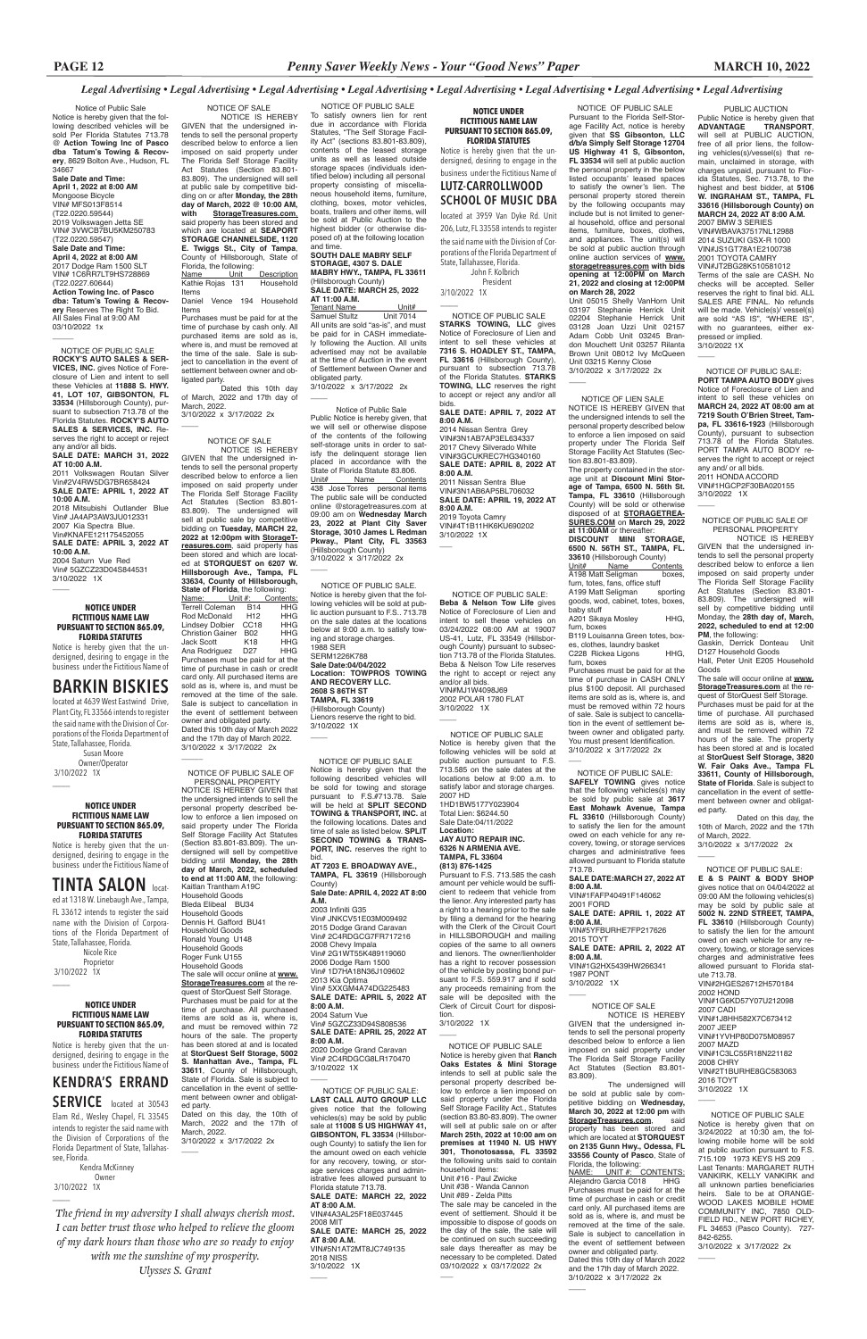Notice of Public Sale Notice is hereby given that the following described vehicles will be sold Per Florida Statutes 713.78 @ **Action Towing Inc of Pasco dba Tatum's Towing & Recovery**, 8629 Bolton Ave., Hudson, FL 34667

**Sale Date and Time: April 1, 2022 at 8:00 AM** Mongoose Bicycle VIN# MFS013F8514 (T22.0220.59544) 2019 Volkswagen Jetta SE VIN# 3VWCB7BU5KM250783 (T22.0220.59547) **Sale Date and Time: April 4, 2022 at 8:00 AM** 2017 Dodge Ram 1500 SLT VIN# 1C6RR7LT9HS728869 (T22.0227.60644) **Action Towing Inc. of Pasco dba: Tatum's Towing & Recovery** Reserves The Right To Bid. All Sales Final at 9:00 AM 03/10/2022 1x

 $\overline{\phantom{a}}$ 

3/10/2022 1X  $\overline{\phantom{a}}$ 

 Owner/Operator 3/10/2022 1X  $\overline{\phantom{a}}$ 

 NOTICE OF PUBLIC SALE **ROCKY'S AUTO SALES & SER-VICES, INC.** gives Notice of Foreclosure of Lien and intent to sell these Vehicles at **11888 S. HWY. 41, LOT 107, GIBSONTON, FL 33534** (Hillsborough County), pursuant to subsection 713.78 of the Florida Statutes. **ROCKY'S AUTO SALES & SERVICES, INC.** Reserves the right to accept or reject any and/or all bids. **SALE DATE: MARCH 31, 2022** 

 NOTICE OF SALE NOTICE IS HEREBY GIVEN that the undersigned intends to sell the personal property described below to enforce a lien imposed on said property under The Florida Self Storage Facility Act Statutes (Section 83.801- 83.809). The undersigned will sell at public sale by competitive bidding on or after **Monday, the 28th day of March, 2022 @ 10:00 AM, with StorageTreasures.com**, said property has been stored and which are located at **SEAPORT STORAGE CHANNELSIDE, 1120 E. Twiggs St., City of Tampa**, County of Hillsborough, State of Florida, the following:<br>Name Unit **Description**<br>Household Kathie **Rojas** 131

**AT 10:00 A.M.** 2011 Volkswagen Routan Silver Vin#2V4RW5DG7BR658424 **SALE DATE: APRIL 1, 2022 AT 10:00 A.M.**

2018 Mitsubishi Outlander Blue Vin# JA4AP3AW3JU012331 2007 Kia Spectra Blue. Vin#KNAFE121175452055 **SALE DATE: APRIL 3, 2022 AT 10:00 A.M.** 2004 Saturn Vue Red Vin# 5GZCZ23D04S844531

Items<br>Daniel Vence 194 Household Items

### **NOTICE UNDER FICTITIOUS NAME LAW PURSUANT TO SECTION 865.09, FLORIDA STATUTES**

Notice is hereby given that the undersigned, desiring to engage in the business under the Fictitious Name of

3/10/2022 x 3/17/2022 2x  $\overline{\phantom{a}}$ 

NOTICE IS HEREBY GIVEN that the undersigned intends to sell the personal property described below to enforce a lien imposed on said property under The Florida Self Storage Facility Act Statutes (Section 83.801- 83.809). The undersigned will sell at public sale by competitive bidding on **Tuesday, MARCH 22, 2022 at 12:00pm with StorageTreasures.com**, said property has been stored and which are located at **STORQUEST on 6207 W. Hillsborough Ave., Tampa, FL 33634, County of Hillsborough, State of Florida**, the following:<br>Name: Unit #: Contents: Name: Unit #: Contents: Terrell Coleman B14 HHG Rod McDonald H12 HHG<br>Lindsev Dolbier CC18 HHG Lindsey Dolbier CC18 HHG<br>Christion Gainer B02 HHG Christion Gainer B02 HHG<br>Jack Scott K18 HHG Jack Scott K18 HHG<br>Ana Rodriguez D27 HHG Ana Rodriguez D27 Purchases must be paid for at the time of purchase in cash or credit card only. All purchased items are sold as is, where is, and must be removed at the time of the sale. Sale is subject to cancellation in the event of settlement between owner and obligated party. Dated this 10th day of March 2022 and the 17th day of March 2022. 3/10/2022 x 3/17/2022 2x  $\overline{\phantom{a}}$ 

## **BARKIN BISKIES**

located at 4639 West Eastwind Drive, Plant City, FL 33566 intends to register the said name with the Division of Corporations of the Florida Department of State, Tallahassee, Florida. Susan Moore

#### **NOTICE UNDER FICTITIOUS NAME LAW PURSUANT TO SECTION 865.09, FLORIDA STATUTES**

Notice is hereby given that the undersigned, desiring to engage in the business under the Fictitious Name of

**TINTA SALON** locat-

 PERSONAL PROPERTY NOTICE IS HEREBY GIVEN that the undersigned intends to sell the personal property described below to enforce a lien imposed on said property under The Florida Self Storage Facility Act Statutes (Section 83.801-83.809). The undersigned will sell by competitive bidding until **Monday, the 28th day of March, 2022, scheduled to end at 11:00 AM**, the following: Kaitlan Trantham A19C Household Goods Bleda Elibeal BU34 Household Goods Dennis H. Gafford BU41 Household Goods Ronald Young U148 Household Goods Roger Funk U155 Household Goods The sale will occur online at **www. StorageTreasure** 

ed at 1318 W. Linebaugh Ave., Tampa, FL 33612 intends to register the said name with the Division of Corporations of the Florida Department of State, Tallahassee, Florida. Nicole Rice Proprietor 3/10/2022 1X

Purchases must be paid for at the time of purchase by cash only. All purchased items are sold as is, where is, and must be removed at the time of the sale. Sale is subject to cancellation in the event of settlement between owner and obligated party.

3/10/2022 x 3/17/2022 2x  $\overline{\phantom{a}}$ 

Dated this 10th day of March, 2022 and 17th day of March, 2022.

### NOTICE OF SALE

 NOTICE OF PUBLIC SALE. Notice is hereby given that the following vehicles will be sold at public auction pursuant to F.S.. 713.78 on the sale dates at the locations below at 9:00 a.m. to satisfy towing and storage charges. 1988 SER SERM1226K788 **Sale Date:04/04/2022 Location: TOWPROS TOWING AND RECOVERY LLC. 2608 S 86TH ST TAMPA, FL 33619** (Hillsborough County) Lienors reserve the right to bid. 3/10/2022 1X  $\overline{\phantom{a}}$ 

 $\overline{\phantom{a}}$ 

**SALE DATE: APRIL 7, 2022 AT 8:00 A.M.** 2014 Nissan Sentra Grey VIN#3N1AB7AP3EL634337 2017 Chevy Silverado White VIN#3GCUKREC7HG340160 **SALE DATE: APRIL 8, 2022 AT 8:00 A.M.** 2011 Nissan Sentra Blue VIN#3N1AB6AP5BL706032 **SALE DATE: APRIL 19, 2022 AT 8:00 A.M.** 2019 Toyota Camry VIN#4T1B11HK6KU690202 3/10/2022 1X  $\overline{\phantom{a}}$ 

NOTICE OF PUBLIC SALE OF

3/10/2022 1X  $\overline{\phantom{a}}$ 

State of Florida. Sale is subject to cancellation in the event of settlement between owner and obligat-

ed party.

 $\overline{\phantom{a}}$ 

Dated on this day, the 10th of March, 2022 and the 17th of

March, 2022.

3/10/2022 x 3/17/2022 2x

NOTICE OF PUBLIC SALE

To satisfy owners lien for rent due in accordance with Florida Statutes, "The Self Storage Facility Act" (sections 83.801-83.809), contents of the leased storage units as well as leased outside storage spaces (individuals identified below) including all personal property consisting of miscellaneous household items, furniture, clothing, boxes, motor vehicles, boats, trailers and other items, will be sold at Public Auction to the highest bidder (or otherwise disposed of) at the following location and time.

> NOTICE OF PUBLIC SALE: **Beba & Nelson Tow Life** gives Notice of Foreclosure of Lien and intent to sell these vehicles on 03/24/2022 08:00 AM at 19007 US-41, Lutz, FL 33549 (Hillsborough County) pursuant to subsection 713.78 of the Florida Statutes. Beba & Nelson Tow Life reserves the right to accept or reject any and/or all bids. VIN#MJ1W4098J69 2002 POLAR 1780 FLAT 3/10/2022 1X  $\overline{\phantom{a}}$

### **SOUTH DALE MABRY SELF STORAGE, 4307 S. DALE MABRY HWY., TAMPA, FL 33611** (Hillsborough County) **SALE DATE: MARCH 25, 2022**

**AT 11:00 A.M.** Tenant Name<br>
Samuel Stultz Unit 7014 Samuel Stultz All units are sold "as-is", and must be paid for in CASH immediately following the Auction. All units advertised may not be available at the time of Auction in the event of Settlement between Owner and obligated party.

 Notice of Public Sale Public Notice is hereby given, that we will sell or otherwise dispose of the contents of the following self-storage units in order to satisfy the delinquent storage lien placed in accordance with the State of Florida Statute 83.806. Unit# Name Contents 438 Jose Torres personal items The public sale will be conducted online @storagetreasures.com at 09:00 am on **Wednesday March 23, 2022 at Plant City Saver Storage, 3010 James L Redman Pkway., Plant City, FL 33563** (Hillsborough County) 3/10/2022 x 3/17/2022 2x

Unit# Name Contents A198 Matt Seligman boxes, furn, totes, fans, office stuff<br>A199 Matt Seligman sporting A199 Matt Seligman

goods, wod, cabinet, totes, boxes, baby stuff A201 Sikaya Mosley HHG.

quest of StorQuest Self Storage. Purchases must be paid for at the time of purchase. All purchased items are sold as is, where is, and must be removed within 72 hours of the sale. The property has been stored at and is located at **StorQuest Self Storage, 5002 S. Manhattan Ave., Tampa, FL 33611**, County of Hillsborough, 2003 Infiniti G35 Vin# JNKCV51E03M009492 2015 Dodge Grand Caravan Vin# 2C4RDGCG7FR717216 2008 Chevy Impala Vin# 2G1WT55K489119060 2006 Dodge Ram 1500 Vin# 1D7HA18N36J109602 2013 Kia Optima Vin# 5XXGM4A74DG225483 **SALE DATE: APRIL 5, 2022 AT 8:00 A.M.** 2004 Saturn Vue Vin# 5GZCZ33D94S808536 **SALE DATE: APRIL 25, 2022 AT 8:00 A.M.** 2020 Dodge Grand Caravan Vin# 2C4RDGCG8LR170470 3/10/2022 1X

 $\overline{\phantom{a}}$ 

 $\overline{\phantom{a}}$ 

 NOTICE OF PUBLIC SALE: **SAFELY TOWING** gives notice that the following vehicles(s) may be sold by public sale at **3617 East Mohawk Avenue, Tampa FL 33610** (Hillsborough County) to satisfy the lien for the amount owed on each vehicle for any recovery, towing, or storage services charges and administrative fees allowed pursuant to Florida statute 713.78. **SALE DATE:MARCH 27, 2022 AT** 

PUBLIC AUCTION Public Notice is hereby given that **ADVANTAGE TRANSPORT**, will sell at PUBLIC AUCTION, free of all prior liens, the following vehicles(s)/vessel(s) that remain, unclaimed in storage, with charges unpaid, pursuant to Florida Statutes, Sec. 713.78, to the highest and best bidder, at **5106 W. INGRAHAM ST., TAMPA, FL 33616 (Hillsborough County) on MARCH 24, 2022 AT 8:00 A.M.** 2007 BMW 3 SERIES VIN#WBAVA37517NL12988 2014 SUZUKI GSX-R 1000 VIN#JS1GT78A1E2100738 2001 TOYOTA CAMRY VIN#JT2BG28K510581012 Terms of the sale are CASH. No checks will be accepted. Seller reserves the right to final bid. ALL SALES ARE FINAL. No refunds will be made. Vehicle(s)/ vessel(s) are sold "AS IS", "WHERE IS", with no guarantees, either expressed or implied. 3/10/2022 1X  $\overline{\phantom{a}}$ 

**8:00 A.M.** VIN#1FAFP40491F146062

2001 FORD **SALE DATE: APRIL 1, 2022 AT** 

**8:00 A.M.** VIN#5YFBURHE7FP217626

2015 TOYT **SALE DATE: APRIL 2, 2022 AT 8:00 A.M.**

VIN#1G2HX5439HW266341 1987 PONT

3/10/2022 1X

 NOTICE OF PUBLIC SALE **STARKS TOWING, LLC** gives Notice of Foreclosure of Lien and intent to sell these vehicles at **7316 S. HOADLEY ST., TAMPA, FL 33616** (Hillsborough County), pursuant to subsection 713.78 of the Florida Statutes. **STARKS TOWING, LLC** reserves the right to accept or reject any and/or all bids.

> NOTICE OF PUBLIC SALE OF PERSONAL PROPERTY

 $\overline{\phantom{a}}$ 

 NOTICE OF PUBLIC SALE Notice is hereby given that the following described vehicles will be sold for towing and storage pursuant to F.S.#713.78. Sale will be held at **SPLIT SECOND TOWING & TRANSPORT, INC.** at the following locations. Dates and time of sale as listed below. **SPLIT SECOND TOWING & TRANS-PORT, INC.** reserves the right to bid.

**AT 7203 E. BROADWAY AVE., TAMPA, FL 33619** (Hillsborough County)

**Sale Date: APRIL 4, 2022 AT 8:00 A.M.**

#### **NOTICE UNDER FICTITIOUS NAME LAW PURSUANT TO SECTION 865.09, FLORIDA STATUTES**

 $\overline{\phantom{a}}$ 

allowed pursuant to Florida statute 713.78. 6712H57018 2002 HOND VIN#1G6KD57Y07U212098 2007 CADI VIN#1J8HH582X7C673412 2007 JEEP VIN#1YVHP80D075M08957 2007 MAZD VIN#1C3LC55R18N221182 2008 CHRY VIN#2T1BURHE8GC583063 2016 TOYT 3/10/2022 1X  $\overline{\phantom{a}}$ 

 $\overline{\phantom{a}}$ 

Notice is hereby given that the undersigned, desiring to engage in the business under the Fictitious Name of

## **KENDRA'S ERRAND**

**SERVICE** located at 30543

Elam Rd., Wesley Chapel, FL 33545 intends to register the said name with the Division of Corporations of the Florida Department of State, Tallahassee, Florida.

 Kendra McKinney Owner 3/10/2022 1X

#### **NOTICE UNDER FICTITIOUS NAME LAW PURSUANT TO SECTION 865.09, FLORIDA STATUTES** Notice is hereby given that the un-

dersigned, desiring to engage in the business under the Fictitious Name of **LUTZ-CARROLLWOOD**

### **SCHOOL OF MUSIC DBA** located at 3959 Van Dyke Rd. Unit

206, Lutz, FL 33558 intends to register the said name with the Division of Corporations of the Florida Department of State, Tallahassee, Florida. John F. Kolbrich

President

 NOTICE OF PUBLIC SALE Pursuant to the Florida Self-Storage Facility Act, notice is hereby given that **SS Gibsonton, LLC d/b/a Simply Self Storage 12704 US Highway 41 S, Gibsonton, FL 33534** will sell at public auction the personal property in the below listed occupants' leased spaces to satisfy the owner's lien. The personal property stored therein by the following occupants may include but is not limited to general household, office and personal items, furniture, boxes, clothes, and appliances. The unit(s) will be sold at public auction through online auction services of **www. storagetreasures.com with bids opening at 12:00PM on March 21, 2022 and closing at 12:00PM on March 28, 2022**

Unit 05015 Shelly VanHorn Unit 03197 Stephanie Herrick Unit<br>02204 Stephanie Herrick Unit Stephanie Herrick Unit 03128 Joan Uzzi Unit 02157 Adam Cobb Unit 03245 Brandon Mouchett Unit 03257 Rilanta Brown Unit 08012 Ivy McQueen Unit 03215 Kenny Close 3/10/2022 x 3/17/2022 2x

 $\overline{\phantom{a}}$ 

 NOTICE OF PUBLIC SALE Notice is hereby given that on 3/24/2022 at 10:30 am, the following mobile home will be sold at public auction pursuant to F.S. at pashs addition parsaant to Last Tenants: MARGARET RUTH VANKIRK, KELLY VANKIRK and all unknown parties beneficiaries heirs. Sale to be at ORANGE-WOOD LAKES MOBILE HOME COMMUNITY INC, 7850 OLD-FIELD RD., NEW PORT RICHEY, FL 34653 (Pasco County). 727- 842-6255. 3/10/2022 x 3/17/2022 2x

 $\overline{\phantom{a}}$ 

 $\overline{\phantom{a}}$ 

 NOTICE OF PUBLIC SALE Notice is hereby given that the following vehicles will be sold at public auction pursuant to F.S. 713.585 on the sale dates at the locations below at 9:00 a.m. to satisfy labor and storage charges. 2007 HD 1HD1BW5177Y023904

Total Lien: \$6244.50 Sale Date:04/11/2022 **Location: JAY AUTO REPAIR INC.**

**6326 N ARMENIA AVE. TAMPA, FL 33604 (813) 876-1425** Pursuant to F.S. 713.585 the cash

amount per vehicle would be sufficient to redeem that vehicle from the lienor. Any interested party has a right to a hearing prior to the sale by filing a demand for the hearing with the Clerk of the Circuit Court in HILLSBOROUGH and mailing copies of the same to all owners and lienors. The owner/lienholder has a right to recover possession of the vehicle by posting bond pursuant to F.S. 559.917 and if sold

any proceeds remaining from the sale will be deposited with the Clerk of Circuit Court for disposition. 3/10/2022 1X

 $\overline{\phantom{a}}$ 

 NOTICE OF LIEN SALE NOTICE IS HEREBY GIVEN that the undersigned intends to sell the personal property described below to enforce a lien imposed on said property under The Florida Self Storage Facility Act Statutes (Section 83.801-83.809).

The property contained in the storage unit at **Discount Mini Storage of Tampa, 6500 N. 56th St. Tampa, FL 33610** (Hillsborough County) will be sold or otherwise disposed of at **STORAGETREA-SURES.COM** on **March 29, 2022 at 11:00AM** or thereafter: **DISCOUNT MINI STORAGE, 6500 N. 56TH ST., TAMPA, FL. 33610** (Hillsborough County)<br>Unit# Name Contents

furn, boxes

B119 Louisanna Green totes, boxes, clothes, laundry basket C228 Rickea Ligons HHG,

furn, boxes Purchases must be paid for at the time of purchase in CASH ONLY plus \$100 deposit. All purchased items are sold as is, where is, and must be removed within 72 hours of sale. Sale is subject to cancellation in the event of settlement between owner and obligated party. You must present Identification. 3/10/2022 x 3/17/2022 2x

 $\overline{\phantom{a}}$ 

 NOTICE OF PUBLIC SALE Notice is hereby given that **Ranch Oaks Estates & Mini Storage** intends to sell at public sale the personal property described below to enforce a lien imposed on said property under the Florida Self Storage Facility Act., Statutes (section 83.80-83.809). The owner will sell at public sale on or after **March 25th, 2022 at 10:00 am on premises at 11940 N. US HWY 301, Thonotosassa, FL 33592**  the following units said to contain household items: Unit #16 - Paul Zwicke

Unit #38 - Wanda Cannon Unit #89 - Zelda Pitts

The sale may be canceled in the event of settlement. Should it be impossible to dispose of goods on the day of the sale, the sale will be continued on such succeeding sale days thereafter as may be necessary to be completed. Dated 03/10/2022 x 03/17/2022 2x

 $\overline{\phantom{a}}$ 

 NOTICE OF PUBLIC SALE: **LAST CALL AUTO GROUP LLC**  gives notice that the following vehicles(s) may be sold by public sale at **11008 S US HIGHWAY 41, GIBSONTON, FL 33534** (Hillsborough County) to satisfy the lien for the amount owed on each vehicle for any recovery, towing, or storage services charges and administrative fees allowed pursuant to Florida statute 713.78. **SALE DATE: MARCH 22, 2022 AT 8:00 A.M.** VIN#4A3AL25F18E037445 2008 MIT **SALE DATE: MARCH 25, 2022 AT 8:00 A.M.** VIN#5N1AT2MT8JC749135 2018 NISS 3/10/2022 1X

 NOTICE OF PUBLIC SALE: **PORT TAMPA AUTO BODY** gives Notice of Foreclosure of Lien and intent to sell these vehicles on **MARCH 24, 2022 AT 08:00 am at 7219 South O'Brien Street, Tampa, FL 33616-1923** (Hillsborough County), pursuant to subsection 713.78 of the Florida Statutes. PORT TAMPA AUTO BODY reserves the right to accept or reject any and/ or all bids. 2011 HONDA ACCORD VIN#1HGCP2F30BA020155 3/10/2022 1X

NOTICE IS HEREBY GIVEN that the undersigned intends to sell the personal property described below to enforce a lien imposed on said property under The Florida Self Storage Facility Act Statutes (Section 83.801- 83.809). The undersigned will sell by competitive bidding until Monday, the **28th day of, March, 2022, scheduled to end at 12:00 PM**, the following:

Gaskin, Derrick Donteau Unit D127 Household Goods Hall, Peter Unit E205 Household

Goods The sale will occur online at **www.**

**StorageTreasures.com** at the request of StorQuest Self Storage. Purchases must be paid for at the time of purchase. All purchased items are sold as is, where is, and must be removed within 72 hours of the sale. The property has been stored at and is located at **StorQuest Self Storage, 3820 W. Fair Oaks Ave., Tampa FL 33611, County of Hillsborough, State of Florida**. Sale is subject to cancellation in the event of settlement between owner and obligated party.

Dated on this day, the 10th of March, 2022 and the 17th of March, 2022. 3/10/2022 x 3/17/2022 2x

 $\overline{\phantom{a}}$ 

#### NOTICE OF SALE NOTICE IS HEREBY

GIVEN that the undersigned intends to sell the personal property described below to enforce a lien imposed on said property under The Florida Self Storage Facility Act Statutes (Section 83.801- 83.809).

The undersigned will be sold at public sale by com-petitive bidding on **Wednesday, March 30, 2022 at 12:00 pm** with **StorageTreasures.com**, said property has been stored and which are located at **STORQUEST on 2135 Gunn Hwy., Odessa, FL 33556 County of Pasco**, State of Florida, the following:

NAME: UNIT #: CONTENTS: Alejandro Garcia C018 Purchases must be paid for at the time of purchase in cash or credit card only. All purchased items are sold as is, where is, and must be removed at the time of the sale. Sale is subject to cancellation in the event of settlement between owner and obligated party.

Dated this 10th day of March 2022 and the 17th day of March 2022. 3/10/2022 x 3/17/2022 2x

 $\overline{\phantom{a}}$ 

 NOTICE OF PUBLIC SALE: **E & S PAINT & BODY SHOP** gives notice that on 04/04/2022 at 09:00 AM the following vehicles(s) may be sold by public sale at **5002 N. 22ND STREET, TAMPA, FL 33610** (Hillsborough County) to satisfy the lien for the amount owed on each vehicle for any recovery, towing, or storage services

charges and administrative fees

*The friend in my adversity I shall always cherish most. I can better trust those who helped to relieve the gloom of my dark hours than those who are so ready to enjoy with me the sunshine of my prosperity. Ulysses S. Grant*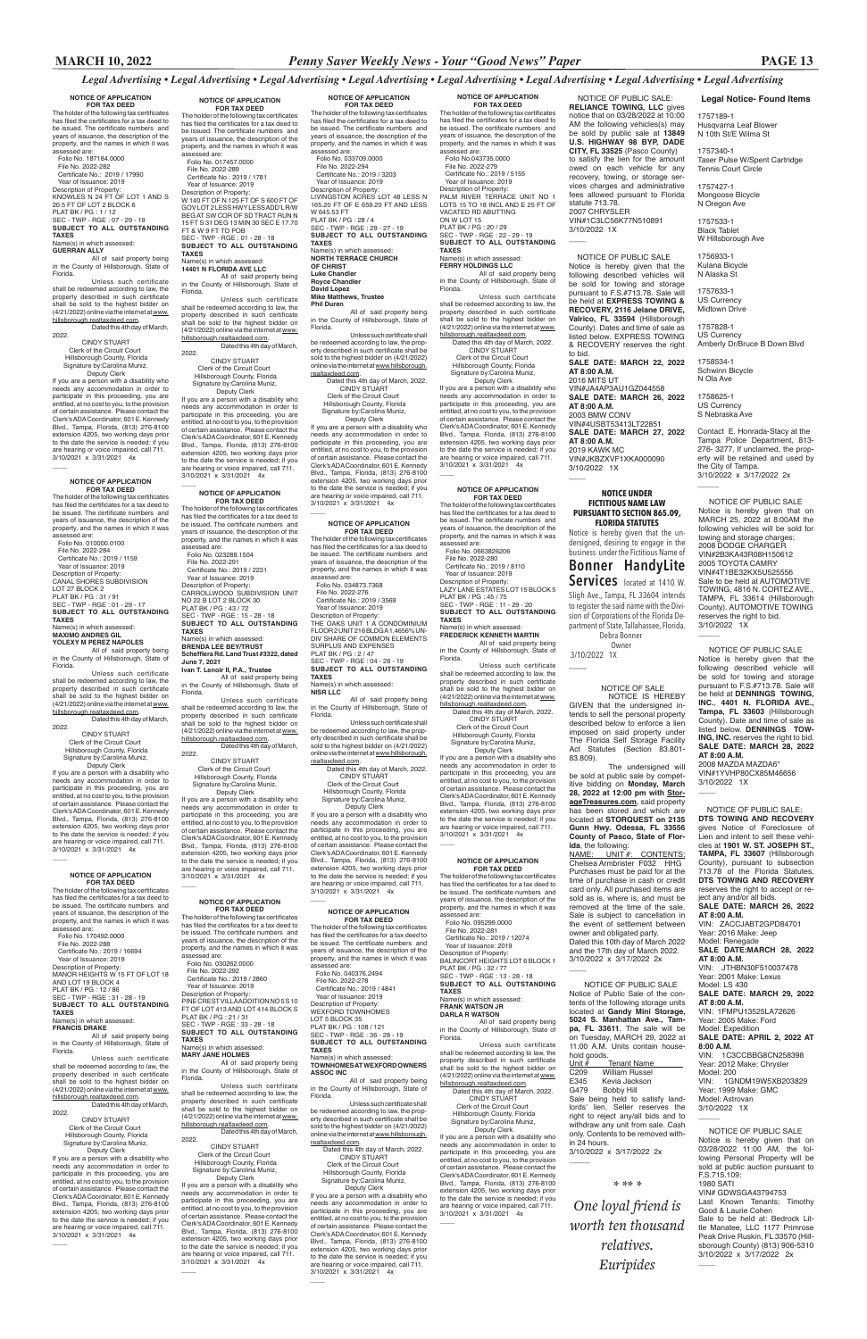### **MARCH 10, 2022** *Penny Saver Weekly News - Your "Good News" Paper* **PAGE 13**

 NOTICE OF PUBLIC SALE Notice of Public Sale of the contents of the following storage units located at **Gandy Mini Storage, 5024 S. Manhattan Ave., Tampa, FL 33611**. The sale will be on Tuesday, MARCH 29, 2022 at 11:00 A.M. Units contain household goods.<br>Unit # Unit  $\frac{H}{H}$  Tenant Name<br>C209 William Russel

*Legal Advertising • Legal Advertising • Legal Advertising • Legal Advertising • Legal Advertising • Legal Advertising • Legal Advertising • Legal Advertising*

C209 William Russel<br>E345 Kevia Jackson E345 Kevia Jackson<br>G479 Bobby Hill G479 Bobby Hill Sale being held to satisfy landlords' lien. Seller reserves the right to reject any/all bids and to withdraw any unit from sale. Cash only. Contents to be removed within 24 hours.

Unless such certificate shall be redeemed according to law, the property described in such certificate<br>shall be sold to the highest bidder on<br>(4/21/2022) online via the internet at <u>www.</u>

3/10/2022 x 3/17/2022 2x

 $\overline{\phantom{a}}$ 

### **NOTICE OF APPLICATION**

 Deputy Clerk If you are a person with a disability who needs any accommodation in order to participate in this proceeding, you are entitled, at no cost to you, to the provision of certain assistance. Please contact the Clerk's ADA Coordinator, 601 E. Kennedy Blvd., Tampa, Florida, (813) 276-8100 extension 4205, two working days prior to the date the service is needed; if you are hearing or voice impaired, call 711. 3/10/2021 x 3/31/2021 4x  $\overline{\phantom{a}}$ 

**FOR TAX DEED** The holder of the following tax certificates has filed the certificates for a tax deed to be issued. The certificate numbers and years of issuance, the description of the property, and the names in which it was assessed are: Folio No. 187184.0000

 File No. 2022-282 Certificate No.: 2019 / 17990 Year of Issuance: 2019 Description of Property: KNOWLES N 24 FT OF LOT 1 AND S 20.5 FT OF LOT 2 BLOCK 6 PLAT BK / PG : 1 / 12 SEC - TWP - RGE : 07 - 29 - 19

#### **SUBJECT TO ALL OUTSTANDING TAXES**

### . . . . . .<br>lame(s) in which assessed

**GUERRAN ALLY**

All of said property being in the County of Hillsborough, State of Florida.

#### hillsborough.realtaxdeed.com. Dated this 4th day of March,

2022. CINDY STUART

 Clerk of the Circuit Court Hillsborough County, Florida Signature by:Carolina Muniz,

 File No. 2022-288 Certificate No.: 2019 / 16694 Year of Issuance: 2019 Description of Property: MANOR HEIGHTS W 15 FT OF LOT 18 AND LOT 19 BLOCK

## **NOTICE OF APPLICATION FOR TAX DEED**

The holder of the following tax certificates has filed the certificates for a tax deed to be issued. The certificate numbers and years of issuance, the description of the property, and the names in which it was assessed are: Folio No. 010000.0100

 File No. 2022-284 Certificate No.: 2019 / 1159 Year of Issuance: 2019 Description of Property: CANAL SHORES SUBDIVISION LOT 27 BLOCK 2 PLAT BK / PG : 31 / 91 SEC - TWP - RGE : 01 - 29 - 17 **SUBJECT TO ALL OUTSTANDING TAXES**

Name(s) in which assessed:

#### **MAXIMO ANDRES GIL YOLEXY M PEREZ NAPOLES**

All of said property being in the County of Hillsborough, State of Florida.

Unless such certificate shall be redeemed according to law, the property described in such certificate shall be sold to the highest bidder on (4/21/2022) online via the internet at www. hillsborough.realtaxdeed.com. Dated this 4th day of March,

If you are a person with a disability who needs any accommodation in order to participate in this proceeding, you are entitled, at no cost to you, to the provision of certain assistance. Please contact the Clerk's ADA Coordinator, 601 E. Kennedy Blvd., Tampa, Florida, (813) 276-8100 extension 4205, two working days prior to the date the service is needed; if you are hearing or voice impaired, call 711. 3/10/2021 x 3/31/2021 4x  $\overline{\phantom{a}}$ 

2022.

 $\overline{\phantom{a}}$ 

 CINDY STUART Clerk of the Circuit Court Hillsborough County, Florida Signature by:Carolina Muniz,

 Deputy Clerk If you are a person with a disability who needs any accommodation in order to participate in this proceeding, you are entitled, at no cost to you, to the provision of certain assistance. Please contact the Clerk's ADA Coordinator, 601 E. Kennedy Blvd., Tampa, Florida, (813) 276-8100 extension 4205, two working days prior to the date the service is needed; if you are hearing or voice impaired, call 711. 3/10/2021 x 3/31/2021 4x

**FOR TAX DEED**<br>The holder of the following tax certificates has filed the certificates for a tax deed to be issued. The certificate numbers and years of issuance, the description of the property, and the names in which it was assessed are: Folio No. 023288.1504 File No. 2022-291 Certificate No.: 2019 / 2231 Year of Issuance: 2019 Description of Property: CARROLLWOOD SUBDIVISION UNIT NO 22 B LOT 2 BLOCK 30 PLAT BK / PG : 43 / 72 SEC - TWP - RGE : 15 - 28 - 18 **SUBJECT TO ALL OUTSTANDING TAXES** Name(s) in which assessed: **BRENDA LEE BEY/TRUST Schefflera Rd. Land Trust #3322, dated June 7, 2021 Ivan T. Lenoir II, P.A., Trustee**

#### **NOTICE OF APPLICATION FOR TAX DEED**

The holder of the following tax certificates has filed the certificates for a tax deed to be issued. The certificate numbers and years of issuance, the description of the property, and the names in which it was assessed are: Folio No. 170492.0000

## PLAT BK / PG : 12 / 86 SEC - TWP - RGE : 31 - 28 - 19 **SUBJECT TO ALL OUTSTANDING TAXES**

## Name(s) in which assessed: **FRANCIS DRAKE**

All of said property being in the County of Hillsborough, State of Florida.

Unless such certificate shall be redeemed according to law, the property described in such certificate shall be sold to the highest bidder on (4/21/2022) online via the internet at www. hillsborough.realtaxdeed.com.

Dated this 4th day of March, 2022.

> Dated this 4th day of March, CINDY STUART

 Clerk of the Circuit Court Hillsborough County, Florida Signature by:Carolina Muniz,

 CINDY STUART Clerk of the Circuit Court Hillsborough County, Florida Signature by:Carolina Muniz,

The holder of the following tax certificates has filed the certificates for a tax deed to be issued. The certificate numbers and years of issuance, the description of the property, and the names in which it was assessed are: Folio No. 033709.0000 File No. 2022-294 Certificate No.: 2019 / 3203 Year of Issuance: 2019 Description of Property: LIVINGSTON ACRES LOT 48 LESS N 165.20 FT OF E 659.20 FT AND LESS<br>W 645.53 FT

 Deputy Clerk If you are a person with a disability who needs any accommodation in order to participate in this proceeding, you are entitled, at no cost to you, to the provision of certain assistance. Please contact the Clerk's ADA Coordinator, 601 E. Kennedy Blvd., Tampa, Florida, (813) 276-8100 extension 4205, two working days prior to the date the service is needed; if you are hearing or voice impaired, call 711. 3/10/2021 x 3/31/2021 4x

 $\overline{\phantom{a}}$ 

**NOTICE OF APPLICATION FOR TAX DEED** The holder of the following tax certificates has filed the certificates for a tax deed to be issued. The certificate numbers and

> Signature by:Carolina Muniz, Deputy Clerk If you are a person with a disability who needs any accommodation in order to participate in this proceeding, you are entitled, at no cost to you, to the provision of certain assistance. Please contact the Clerk's ADA Coordinator, 601 E. Kennedy Blvd., Tampa, Florida, (813) 276-8100 extension 4205, two working days prior to the date the service is needed; if you are hearing or voice impaired, call 711. 3/10/2021 x 3/31/2021 4x  $\overline{\phantom{a}}$

years of issuance, the description of the property, and the names in which it was assessed are: Folio No. 017457.0000 File No. 2022-289 Certificate No.: 2019 / 1781 Year of Issuance: 2019

Description of Property: W 140 FT OF N 125 FT OF S 600 FT OF GOV LOT 2 LESS HWY LESS ADD'L R/W BEG AT SW COR OF SD TRACT RUN N 15 FT S 31 DEG 13 MIN 30 SEC E 17.70 FT & W 9 FT TO POB SEC - TWP - RGE : 01 - 28 - 18 **SUBJECT TO ALL OUTSTANDING TAXES**

Name(s) in which assessed: **14401 N FLORIDA AVE LLC**

All of said property being in the County of Hillsborough, State of Florida.

> **FOR TAX DEED**<br>The holder of the following tax certificates<br>has filed the certificates for a tax deed to be issued. The certificate numbers and years of issuance, the description of the property, and the names in which it was assessed are: Folio No. 034873.7368 File No. 2022-276 Certificate No.: 2019 / 3569 Year of Issuance: 2019 Description of Property: THE OAKS UNIT 1 A CONDOMINIUM FLOOR 2 UNIT 216 BLDG A 1.4656% UN-DIV SHARE OF COMMON ELEMENTS SURPLUS AND EXPENSES PLAT BK / PG : 2 / 47 SEC - TWP - RGE : 04 - 28 - 19 **SUBJECT TO ALL OUTSTANDING TAXES** Name(s) in which assessed:

Unless such certificate shall be redeemed according to law, the property described in such certificate shall be sold to the highest bidder on (4/21/2022) online via the internet at www. hillsborough.realtaxdeed.com. Dated this 4th day of March,

2022. CINDY STUART Clerk of the Circuit Court Hillsborough County, Florida Signature by:Carolina Muniz, Deputy Clerk

### **NOTICE OF APPLICATION**

realtaxdeed.com. Dated this 4th day of March, 2022. CINDY STUART Clerk of the Circuit Court Hillsborough County, Florida Signature by:Carolina Muniz, Deputy Clerk

All of said property being in the County of Hillsborough, State of Florida.

Unless such certificate shall be redeemed according to law, the property described in such certificate shall be sold to the highest bidder on<br>(4/21/2022) online viatheinternetat<u>www.</u><br>hillsborough.realtaxdeed.com. Dated this 4th day of March,

(4/21/2022) online via the internet at <u>www.</u><br>hillsborough.realtaxdeed.com. Dated this 4th day of March, 2022. CINDY STUART Clerk of the Circuit Court Hillsborough County, Florida

2022. CINDY STUART Clerk of the Circuit Court Hillsborough County, Florida Signature by:Carolina Muniz,

 Deputy Clerk If you are a person with a disability who needs any accommodation in order to participate in this proceeding, you are entitled, at no cost to you, to the provision of certain assistance. Please contact the Clerk's ADA Coordinator, 601 E. Kennedy Blvd., Tampa, Florida, (813) 276-8100 extension 4205, two working days prior to the date the service is needed; if you are hearing or voice impaired, call 711. 3/10/2021 x 3/31/2021 4x

 File No. 2022-280 Certificate No.: 2019 / 8110 Year of Issuance: 2019 Description of Property: LAZY LANE ESTATES LOT 15 BLOCK 5 PLAT BK / PG : 45 / 75 SEC - TWP - RGE : 11 - 29 - 20 **SUBJECT TO ALL OUTSTANDING TAXES** Name(s) in which assessed

## **NOTICE OF APPLICATION FOR TAX DEED**

 $\overline{\phantom{a}}$ 

The holder of the following tax certificates has filed the certificates for a tax deed to be issued. The certificate numbers and years of issuance, the description of the property, and the names in which it was assessed are: Folio No. 030262.0000

 File No. 2022-292 Certificate No.: 2019 / 2860 Year of Issuance: 2019

Description of Property: PINE CREST VILLA ADDITION NO 5 S 10 FT OF LOT 413 AND LOT 414 BLOCK S PLAT BK / PG : 21 / 31 SEC - TWP - RGE : 33 - 28 - 18 **SUBJECT TO ALL OUTSTANDING TAXES** Name(s) in which assessed:

**FOR TAX DEED**<br>The holder of the following tax certificates has filed the certificates for a tax deed to be issued. The certificate numbers and years of issuance, the description of the property, and the names in which it was assessed are: Folio No. 095299.0000 File No. 2022-281

 $\overline{\phantom{a}}$ 

**MARY JANE HOLMES**

All of said property being in the County of Hillsborough, State of Florida.

Unless such certificate shall be redeemed according to law, the property described in such certificate shall be sold to the highest bidder on (4/21/2022) online via the internet at www. hillsborough.realtaxdeed.com.

Dated this 4th day of March, 2022 CINDY STUART Clerk of the Circuit Court Hillsborough County, Florida

2022.

 $\overline{\phantom{a}}$ 

 Deputy Clerk If you are a person with a disability who

 NOTICE OF PUBLIC SALE Notice is hereby given that the following described vehicles will be sold for towing and storage pursuant to F.S.#713.78. Sale will be held at **EXPRESS TOWING & RECOVERY, 2116 Jelane DRIVE, Valrico, FL 33594** (Hillsborough County). Dates and time of sale as listed below. EXPRESS TOWING & RECOVERY reserves the right to bid. **SALE DATE: MARCH 22, 2022 AT 8:00 A.M.** 2016 MITS UT VIN#JA4AP3AU1GZ044558 **SALE DATE: MARCH 26, 2022 AT 8:00 A.M.** 2003 BMW CONV VIN#4USBT53413LT22851 **SALE DATE: MARCH 27, 2022 AT 8:00 A.M.** 2019 KAWK MC VIN#JKBZXVF1XKA000090 3/10/2022 1X  $\overline{\phantom{a}}$ 

needs any accommodation in order to participate in this proceeding, you are entitled, at no cost to you, to the provision of certain assistance. Please contact the Clerk's ADA Coordinator, 601 E. Kennedy Blvd., Tampa, Florida, (813) 276-8100 extension 4205, two working days prior to the date the service is needed; if you are hearing or voice impaired, call 711. 3/10/2021 x 3/31/2021 4x

 NOTICE OF PUBLIC SALE: **RELIANCE TOWING, LLC** gives notice that on 03/28/2022 at 10:00 AM the following vehicles(s) may be sold by public sale at **13849 U.S. HIGHWAY 98 BYP, DADE CITY, FL 33525** (Pasco County) to satisfy the lien for the amount owed on each vehicle for any recovery, towing, or storage services charges and administrative fees allowed pursuant to Florida statute 713.78. 2007 CHRYSLER VIN#1C3LC56K77N510891 3/10/2022 1X  $\overline{\phantom{a}}$ 

**NOTICE OF APPLICATION FOR TAX DEED**

W 645.53 FT PLAT BK / PG : 28 / 4 SEC - TWP - RGE : 29 - 27 - 19 **SUBJECT TO ALL OUTSTANDING TAXES** Name(s) in which assessed:

**NORTH TERRACE CHURCH OF CHRIST**

**Luke Chandler** 

**Royce Chandler David Lopez**

 NOTICE OF PUBLIC SALE Notice is hereby given that on MARCH 25, 2022 at 8:00AM the following vehicles will be sold for towing and storage charges: 2008 DODGE CHARGER VIN#2B3KA43R08H150612 2005 TOYOTA CAMRY VIN#4T1BE32KX5U525556 Sale to be held at AUTOMOTIVE TOWING, 4816 N. CORTEZ AVE., TAMPA, FL 33614 (Hillsborough County). AUTOMOTIVE TOWING reserves the right to bid. 3/10/2022 1X  $\overline{\phantom{a}}$ 

**Mike Matthews, Trustee Phil Duren**

All of said property being in the County of Hillsborough, State of Florida.

Unless such certificate shall be redeemed according to law, the prop-erty described in such certificate shall be sold to the highest bidder on (4/21/2022) online via the internet at www.hillsborough. realtaxdeed.com. Dated this 4th day of March, 2022.

 CINDY STUART Clerk of the Circuit Court Hillsborough County, Florida

> Sale is subject to cancellation in the event of settlement between owner and obligated party. Dated this 10th day of March 2022 and the 17th day of March 2022. 3/10/2022 x 3/17/2022 2x

 $\overline{\phantom{a}}$ 

3/10/2022 1X  $\overline{\phantom{a}}$ 

## **NOTICE OF APPLICATION**

VIN: ZACCJABT2GPD84701 Year: 2016 Make: Jeep Model: Renegade

 NOTICE OF PUBLIC SALE Notice is hereby given that on 03/28/2022 11:00 AM, the following Personal Property will be sold at public auction pursuant to F.S.715.109: 1980 SATI VIN# GDWSGA43794753 Last Known Tenants: Timothy Good & Laurie Cohen Sale to be held at: Bedrock Little Manatee, LLC 1177 Primrose Peak Drive Ruskin, FL 33570 (Hillsborough County) (813) 906-5310 3/10/2022 x 3/17/2022 2x  $\overline{\phantom{a}}$ 

**NISR LLC** All of said property being in the County of Hillsborough, State of

Florida. Unless such certificate shall

be redeemed according to law, the prop-erty described in such certificate shall be sold to the highest bidder on (4/21/2022) online via the internet at www.hillsborough.

realtaxdeed.com. Dated this 4th day of March, 2022. CINDY STUART

 Clerk of the Circuit Court Hillsborough County, Florida Signature by:Carolina Muniz,

 Deputy Clerk If you are a person with a disability who needs any accommodation in order to participate in this proceeding, you are entitled, at no cost to you, to the provision of certain assistance. Please contact the Clerk's ADA Coordinator, 601 E. Kennedy Blvd., Tampa, Florida, (813) 276-8100 extension 4205, two working days prior to the date the service is needed; if you are hearing or voice impaired, call 711. 3/10/2021 x 3/31/2021 4x

## **NOTICE OF APPLICATION FOR TAX DEED**

The holder of the following tax certificates has filed the certificates for a tax deed to be issued. The certificate numbers and years of issuance, the description of the property, and the names in which it was assessed are:

Folio No. 040376.2494

 $\overline{\phantom{a}}$ 

 File No. 2022-278 Certificate No.: 2019 / 4841 Year of Issuance: 2019 Description of Property: WEXFORD TOWNHOMES LOT 5 BLOCK 35 PLAT BK / PG : 108 / 121 SEC - TWP - RGE : 36 - 28 - 19 **SUBJECT TO ALL OUTSTANDING TAXES** Name(s) in which assessed:

**TOWNHOMES AT WEXFORD OWNERS ASSOC INC**

All of said property being in the County of Hillsborough, State of Florida.

Unless such certificate shall be redeemed according to law, the prop-erty described in such certificate shall be sold to the highest bidder on (4/21/2022) online via the internet at www.hillsborough.

If you are a person with a disability who needs any accommodation in order to participate in this proceeding, you are entitled, at no cost to you, to the provision of certain assistance. Please contact the Clerk's ADA Coordinator, 601 E. Kennedy Blvd., Tampa, Florida, (813) 276-8100 extension 4205, two working days prior to the date the service is needed; if you are hearing or voice impaired, call 711. 3/10/2021 x 3/31/2021 4x

 $\overline{\phantom{a}}$ 

**NOTICE OF APPLICATION FOR TAX DEED** The holder of the following tax certificates has filed the certificates for a tax deed to be issued. The certificate numbers and years of issuance, the description of the

property, and the names in which it was assessed are: Folio No.043735.0000 File No. 2022-279 Certificate No.: 2019 / 5155 Year of Issuance: 2019 Description of Property: PALM RIVER TERRACE UNIT NO 1 LOTS 15 TO 18 INCL AND E 25 FT OF VACATED RD ABUTTING ON W LOT 15 PLAT BK / PG : 20 / 29 SEC - TWP - RGE : 22 - 29 - 19 **SUBJECT TO ALL OUTSTANDING TAXES** Name(s) in which assessed:

**FERRY HOLDINGS LLC** All of said property being in the County of Hillsborough, State of

Florida. Unless such certificate shall be redeemed according to law, the property described in such certificate shall be sold to the highest bidder on

 Signature by:Carolina Muniz, Deputy Clerk If you are a person with a disability who needs any accommodation in order to participate in this proceeding, you are entitled, at no cost to you, to the provision of certain assistance. Please contact the Clerk's ADA Coordinator, 601 E. Kennedy Blvd., Tampa, Florida, (813) 276-8100 extension 4205, two working days prior to the date the service is needed; if you are hearing or voice impaired, call 711. 3/10/2021 x 3/31/2021 4x

## **NOTICE OF APPLICATION FOR TAX DEED**

 $\overline{\phantom{a}}$ 

### The holder of the following tax certificates has filed the certificates for a tax deed to be issued. The certificate numbers and years of issuance, the description of the property, and the names in which it was assessed are: Folio No. 0663826206

**FREDERICK KENNETH MARTIN** All of said property being in the County of Hillsborough, State of

Florida. Unless such certificate shall be redeemed according to law, the property described in such certificate shall be sold to the highest bidder on (4/21/2022) online via the internet at www.

hillsborough.realtaxdeed.com. Dated this 4th day of March, 2022. CINDY STUART Clerk of the Circuit Court Hillsborough County, Florida Signature by:Carolina Muniz,

 Deputy Clerk If you are a person with a disability who needs any accommodation in order to participate in this proceeding, you are entitled, at no cost to you, to the provision of certain assistance. Please contact the Clerk's ADA Coordinator, 601 E. Kennedy Blvd., Tampa, Florida, (813) 276-8100 extension 4205, two working days prior to the date the service is needed; if you are hearing or voice impaired, call 711. 3/10/2021 x 3/31/2021 4x

### **NOTICE OF APPLICATION**

 Certificate No.: 2019 / 12074 Year of Issuance: 2019 Description of Property: BALINCORT HEIGHTS LOT 6 BLOCK 1 PLAT BK / PG : 32 / 77 SEC - TWP - RGE : 13 - 28 - 18 **SUBJECT TO ALL OUTSTANDING** 

### **TAXES**

#### Name(s) in which assessed: **FRANK WATSON JR DARLA R WATSON**

All of said property being in the County of Hillsborough, State of Florida.

Unless such certificate shall be redeemed according to law, the property described in such certificate shall be sold to the highest bidder on (4/21/2022) online via the internet at www. hillsborough.realtaxdeed.com.

 Signature by:Carolina Muniz, Deputy Clerk If you are a person with a disability who needs any accommodation in order to participate in this proceeding, you are entitled, at no cost to you, to the provision of certain assistance. Please contact the Clerk's ADA Coordinator, 601 E. Kennedy Blvd., Tampa, Florida, (813) 276-8100 extension 4205, two working days prior

to the date the service is needed; if you are hearing or voice impaired, call 711. 3/10/2021 x 3/31/2021 4x

 $\overline{\phantom{a}}$ 

#### **NOTICE UNDER FICTITIOUS NAME LAW PURSUANT TO SECTION 865.09, FLORIDA STATUTES**

Notice is hereby given that the undersigned, desiring to engage in the business under the Fictitious Name of

## **Bonner HandyLite Services** located at 1410 W.

Sligh Ave., Tampa, FL 33604 intends to register the said name with the Division of Corporations of the Florida Department of State, Tallahassee, Florida. Debra Bonner

 Owner 3/10/2022 1X

 $\overline{\phantom{a}}$ 

### **Legal Notice- Found Items**

1757189-1 Husqvarna Leaf Blower N 10th St/E Wilma St

1757340-1 Taser Pulse W/Spent Cartridge Tennis Court Circle

1757427-1 Mongoose Bicycle N Oregon Ave

1757533-1 Black Tablet W Hillsborough Ave

1756933-1 Kulana Bicycle N Alaska St 1757633-1 US Currency Midtown Drive 1757828-1 US Currency

Amberly Dr/Bruce B Down Blvd

1758534-1 Schwinn Bicycle N Ola Ave 1758625-1 US Currency S Nebraska Ave

Contact E. Honrada-Stacy at the Tampa Police Department, 813- 276- 3277. If unclaimed, the property will be retained and used by

the City of Tampa. 3/10/2022 x 3/17/2022 2x

 $\overline{\phantom{a}}$ 

 NOTICE OF SALE NOTICE IS HEREBY GIVEN that the undersigned intends to sell the personal property described below to enforce a lien imposed on said property under The Florida Self Storage Facility Act Statutes (Section 83.801- 83.809).

The undersigned will be sold at public sale by competitive bidding on **Monday, March 28, 2022 at 12:00 pm with StorageTreasures.com**, said property has been stored and which are located at **STORQUEST on 2135 Gunn Hwy. Odessa, FL 33556 County of Pasco, State of Florida**, the following: NAME: UNIT #: CONTENTS: Chelsea Armbrister F032 HHG Purchases must be paid for at the time of purchase in cash or credit card only. All purchased items are sold as is, where is, and must be removed at the time of the sale.

 NOTICE OF PUBLIC SALE Notice is hereby given that the following described vehicle will be sold for towing and storage pursuant to F.S.#713.78. Sale will be held at **DENNINGS TOWING, INC.**, **4401 N. FLORIDA AVE., Tampa, FL 33603** (Hillsborough County). Date and time of sale as listed below. **DENNINGS TOW-ING, INC.** reserves the right to bid. **SALE DATE: MARCH 28, 2022** 

**AT 8:00 A.M.** 2008 MAZDA MAZDA6\* VIN#1YVHP80CX85M46656

 NOTICE OF PUBLIC SALE: **DTS TOWING AND RECOVERY**  gives Notice of Foreclosure of Lien and intent to sell these vehicles at **1901 W. ST. JOSEPH ST., TAMPA, FL 33607** (Hillsborough County), pursuant to subsection 713.78 of the Florida Statutes. **DTS TOWING AND RECOVERY**  reserves the right to accept or reject any and/or all bids. **SALE DATE: MARCH 26, 2022** 

**AT 8:00 A.M.**

**SALE DATE:MARCH 28, 2022** 

**AT 8:00 A.M.**

 $\overline{\phantom{a}}$ 

VIN: JTHBN30F510037478

Year: 2001 Make: Lexus Model: LS 430 **SALE DATE: MARCH 29, 2022 AT 8:00 A.M.** VIN: 1FMPU13525LA72626 Year: 2005 Make: Ford Model: Expedition **SALE DATE: APRIL 2, 2022 AT 8:00 A.M.** VIN: 1C3CCBBG8CN258398 Year: 2012 Make: Chrysler Model: 200 VIN: 1GNDM19W5XB203829 Year: 1999 Make: GMC

Model: Astrovan 3/10/2022 1X

*\* \*\* \**

*One loyal friend is* 

*worth ten thousand* 

*relatives.*

*Euripides*